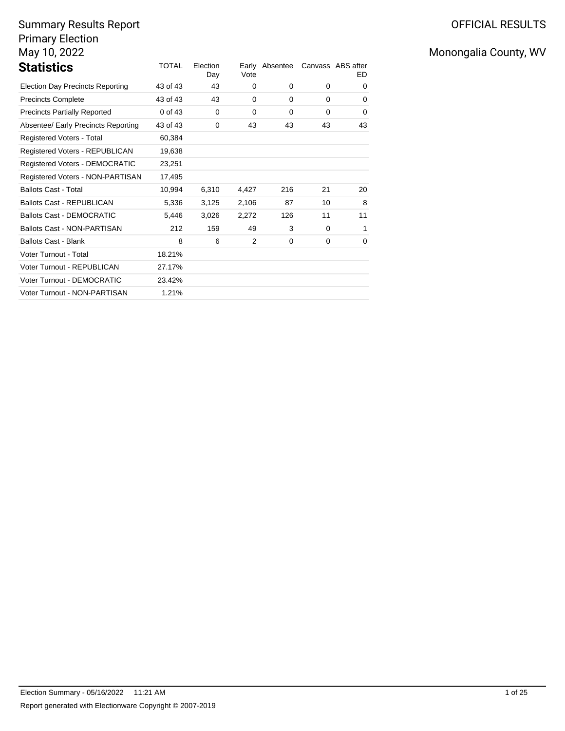# Summary Results Report Primary Election May 10, 2022

| <b>Statistics</b>                       | TOTAL    | Election<br>Day | Vote  | Early Absentee |          | Canvass ABS after<br>ED. |
|-----------------------------------------|----------|-----------------|-------|----------------|----------|--------------------------|
| <b>Election Day Precincts Reporting</b> | 43 of 43 | 43              | 0     | 0              | $\Omega$ | 0                        |
| <b>Precincts Complete</b>               | 43 of 43 | 43              | 0     | 0              | $\Omega$ | 0                        |
| <b>Precincts Partially Reported</b>     | 0 of 43  | $\mathbf 0$     | 0     | 0              | $\Omega$ | 0                        |
| Absentee/ Early Precincts Reporting     | 43 of 43 | 0               | 43    | 43             | 43       | 43                       |
| Registered Voters - Total               | 60,384   |                 |       |                |          |                          |
| Registered Voters - REPUBLICAN          | 19,638   |                 |       |                |          |                          |
| Registered Voters - DEMOCRATIC          | 23,251   |                 |       |                |          |                          |
| Registered Voters - NON-PARTISAN        | 17,495   |                 |       |                |          |                          |
| <b>Ballots Cast - Total</b>             | 10.994   | 6,310           | 4,427 | 216            | 21       | 20                       |
| <b>Ballots Cast - REPUBLICAN</b>        | 5,336    | 3,125           | 2,106 | 87             | 10       | 8                        |
| Ballots Cast - DEMOCRATIC               | 5,446    | 3,026           | 2,272 | 126            | 11       | 11                       |
| <b>Ballots Cast - NON-PARTISAN</b>      | 212      | 159             | 49    | 3              | $\Omega$ | 1                        |
| <b>Ballots Cast - Blank</b>             | 8        | 6               | 2     | 0              | $\Omega$ | 0                        |
| Voter Turnout - Total                   | 18.21%   |                 |       |                |          |                          |
| Voter Turnout - REPUBLICAN              | 27.17%   |                 |       |                |          |                          |
| Voter Turnout - DEMOCRATIC              | 23.42%   |                 |       |                |          |                          |
| Voter Turnout - NON-PARTISAN            | 1.21%    |                 |       |                |          |                          |

# OFFICIAL RESULTS

# Monongalia County, WV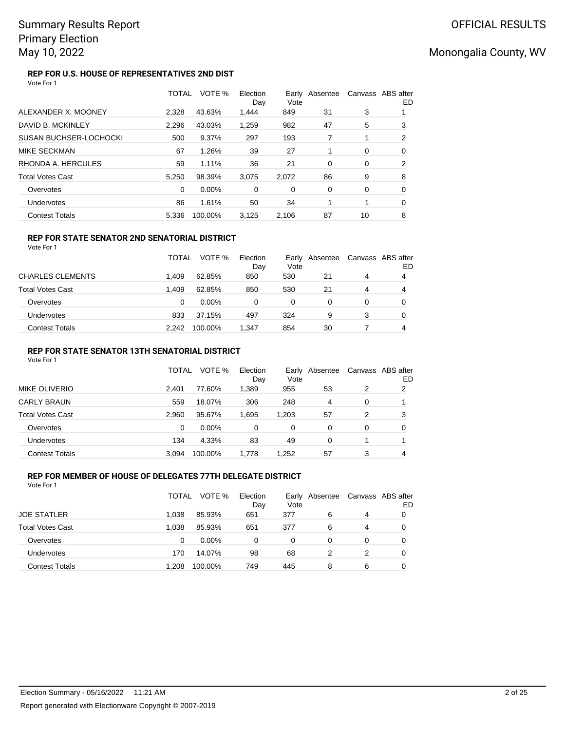### **REP FOR U.S. HOUSE OF REPRESENTATIVES 2ND DIST** Vote For 1

|                               | <b>TOTAL</b> | VOTE %   | Election<br>Day | Vote     | Early Absentee |          | Canvass ABS after<br>ED |
|-------------------------------|--------------|----------|-----------------|----------|----------------|----------|-------------------------|
| ALEXANDER X. MOONEY           | 2.328        | 43.63%   | 1,444           | 849      | 31             | 3        |                         |
| DAVID B. MCKINLEY             | 2.296        | 43.03%   | 1.259           | 982      | 47             | 5        | 3                       |
| <b>SUSAN BUCHSER-LOCHOCKI</b> | 500          | 9.37%    | 297             | 193      | 7              |          | 2                       |
| MIKE SECKMAN                  | 67           | 1.26%    | 39              | 27       |                | $\Omega$ | 0                       |
| RHONDA A. HERCULES            | 59           | 1.11%    | 36              | 21       | $\Omega$       | 0        | 2                       |
| <b>Total Votes Cast</b>       | 5.250        | 98.39%   | 3,075           | 2,072    | 86             | 9        | 8                       |
| Overvotes                     | $\Omega$     | $0.00\%$ | $\Omega$        | $\Omega$ | 0              | 0        | $\Omega$                |
| Undervotes                    | 86           | 1.61%    | 50              | 34       |                | 1        | 0                       |
| <b>Contest Totals</b>         | 5.336        | 100.00%  | 3.125           | 2.106    | 87             | 10       | 8                       |

## **REP FOR STATE SENATOR 2ND SENATORIAL DISTRICT**

Vote For 1

|                       | <b>TOTAL</b> | VOTE %   | Election<br>Day | Vote | Early Absentee | Canvass ABS after | ED |
|-----------------------|--------------|----------|-----------------|------|----------------|-------------------|----|
| CHARLES CLEMENTS      | 1.409        | 62.85%   | 850             | 530  | 21             | 4                 | 4  |
| Total Votes Cast      | 1.409        | 62.85%   | 850             | 530  | 21             | 4                 | 4  |
| Overvotes             | 0            | $0.00\%$ | 0               | 0    | 0              | 0                 |    |
| Undervotes            | 833          | 37.15%   | 497             | 324  | 9              | 3                 |    |
| <b>Contest Totals</b> | 2.242        | 100.00%  | 1.347           | 854  | 30             |                   | 4  |

## **REP FOR STATE SENATOR 13TH SENATORIAL DISTRICT**

Vote For 1

|                       | TOTAL | VOTE %   | Election<br>Day | Vote  | Early Absentee |   | Canvass ABS after<br>ED |
|-----------------------|-------|----------|-----------------|-------|----------------|---|-------------------------|
| MIKE OLIVERIO         | 2.401 | 77.60%   | 1,389           | 955   | 53             | 2 | 2                       |
| <b>CARLY BRAUN</b>    | 559   | 18.07%   | 306             | 248   | 4              | 0 |                         |
| Total Votes Cast      | 2.960 | 95.67%   | 1.695           | 1.203 | 57             | 2 | 3                       |
| Overvotes             | 0     | $0.00\%$ | 0               | 0     | 0              | 0 | O                       |
| Undervotes            | 134   | 4.33%    | 83              | 49    | 0              |   |                         |
| <b>Contest Totals</b> | 3.094 | 100.00%  | 1.778           | 1.252 | 57             | 3 | 4                       |

### **REP FOR MEMBER OF HOUSE OF DELEGATES 77TH DELEGATE DISTRICT** Vote For 1

|                         | TOTAL | VOTE %   | Election<br>Day | Vote | Early Absentee | Canvass ABS after | ED |
|-------------------------|-------|----------|-----------------|------|----------------|-------------------|----|
| <b>JOE STATLER</b>      | 1.038 | 85.93%   | 651             | 377  | 6              | 4                 |    |
| <b>Total Votes Cast</b> | 1.038 | 85.93%   | 651             | 377  | 6              | 4                 |    |
| Overvotes               | 0     | $0.00\%$ | 0               | 0    | $\Omega$       | 0                 |    |
| Undervotes              | 170   | 14.07%   | 98              | 68   |                |                   |    |
| <b>Contest Totals</b>   | .208  | 100.00%  | 749             | 445  | 8              | 6                 |    |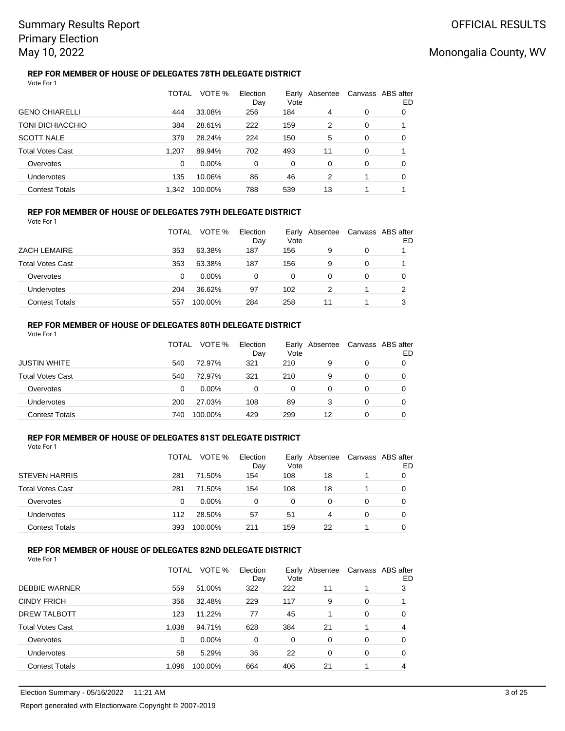### **REP FOR MEMBER OF HOUSE OF DELEGATES 78TH DELEGATE DISTRICT** Vote For 1

|                         | TOTAL | VOTE %  | Election<br>Day | Vote | Early Absentee |   | Canvass ABS after<br>ED |
|-------------------------|-------|---------|-----------------|------|----------------|---|-------------------------|
| <b>GENO CHIARELLI</b>   | 444   | 33.08%  | 256             | 184  | 4              | 0 | 0                       |
| <b>TONI DICHIACCHIO</b> | 384   | 28.61%  | 222             | 159  | 2              | 0 |                         |
| <b>SCOTT NALE</b>       | 379   | 28.24%  | 224             | 150  | 5              | 0 | 0                       |
| <b>Total Votes Cast</b> | 1.207 | 89.94%  | 702             | 493  | 11             | 0 |                         |
| Overvotes               | 0     | 0.00%   | 0               | 0    | 0              | 0 | 0                       |
| Undervotes              | 135   | 10.06%  | 86              | 46   | 2              |   | 0                       |
| <b>Contest Totals</b>   | 1.342 | 100.00% | 788             | 539  | 13             |   |                         |

## **REP FOR MEMBER OF HOUSE OF DELEGATES 79TH DELEGATE DISTRICT**

Vote For 1

|                       | TOTAL | VOTE %   | Election<br>Day | Vote | Early Absentee | Canvass ABS after | ED |
|-----------------------|-------|----------|-----------------|------|----------------|-------------------|----|
| ZACH LEMAIRE          | 353   | 63.38%   | 187             | 156  | 9              | 0                 |    |
| Total Votes Cast      | 353   | 63.38%   | 187             | 156  | 9              | 0                 |    |
| Overvotes             | 0     | $0.00\%$ | 0               | 0    | 0              | 0                 |    |
| Undervotes            | 204   | 36.62%   | 97              | 102  | 2              |                   | っ  |
| <b>Contest Totals</b> | 557   | 100.00%  | 284             | 258  | 11             |                   | 3  |

### **REP FOR MEMBER OF HOUSE OF DELEGATES 80TH DELEGATE DISTRICT** Vote For 1

|                         | TOTAL | VOTE %   | Election<br>Day | Early<br>Vote | Absentee | Canvass ABS after | ED |
|-------------------------|-------|----------|-----------------|---------------|----------|-------------------|----|
| <b>JUSTIN WHITE</b>     | 540   | 72.97%   | 321             | 210           | 9        | 0                 |    |
| <b>Total Votes Cast</b> | 540   | 72.97%   | 321             | 210           | 9        | $\Omega$          |    |
| Overvotes               | 0     | $0.00\%$ | 0               | 0             | 0        | 0                 |    |
| Undervotes              | 200   | 27.03%   | 108             | 89            | 3        | 0                 |    |
| <b>Contest Totals</b>   | 740   | 100.00%  | 429             | 299           | 12       | 0                 |    |

## **REP FOR MEMBER OF HOUSE OF DELEGATES 81ST DELEGATE DISTRICT**

Vote For 1

|                         | TOTAL | VOTE %   | Election<br>Day | Vote | Early Absentee | Canvass ABS after | ED |
|-------------------------|-------|----------|-----------------|------|----------------|-------------------|----|
| <b>STEVEN HARRIS</b>    | 281   | 71.50%   | 154             | 108  | 18             |                   |    |
| <b>Total Votes Cast</b> | 281   | 71.50%   | 154             | 108  | 18             |                   | 0  |
| Overvotes               | 0     | $0.00\%$ | $\Omega$        | 0    | 0              | 0                 |    |
| Undervotes              | 112   | 28.50%   | 57              | 51   | 4              | 0                 |    |
| <b>Contest Totals</b>   | 393   | 100.00%  | 211             | 159  | 22             |                   |    |

## **REP FOR MEMBER OF HOUSE OF DELEGATES 82ND DELEGATE DISTRICT**

|                         | TOTAL | VOTE %  | Election<br>Day | Early<br>Vote | Absentee |   | Canvass ABS after<br>ED |
|-------------------------|-------|---------|-----------------|---------------|----------|---|-------------------------|
| <b>DEBBIE WARNER</b>    | 559   | 51.00%  | 322             | 222           | 11       |   | 3                       |
| <b>CINDY FRICH</b>      | 356   | 32.48%  | 229             | 117           | 9        | 0 |                         |
| DREW TALBOTT            | 123   | 11.22%  | 77              | 45            |          | 0 | 0                       |
| <b>Total Votes Cast</b> | 1.038 | 94.71%  | 628             | 384           | 21       | 1 | 4                       |
| Overvotes               | 0     | 0.00%   | 0               | 0             | 0        | 0 | 0                       |
| Undervotes              | 58    | 5.29%   | 36              | 22            | 0        | 0 | 0                       |
| <b>Contest Totals</b>   | 1,096 | 100.00% | 664             | 406           | 21       | 1 | 4                       |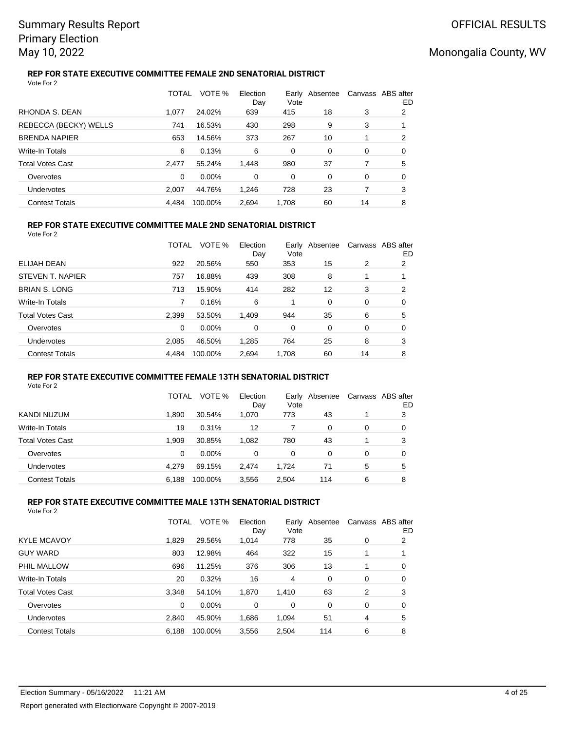### **REP FOR STATE EXECUTIVE COMMITTEE FEMALE 2ND SENATORIAL DISTRICT** Vote For 2

|                         | TOTAL | VOTE %   | Election<br>Day | Vote  | Early Absentee | Canvass ABS after | ED |
|-------------------------|-------|----------|-----------------|-------|----------------|-------------------|----|
| RHONDA S. DEAN          | 1.077 | 24.02%   | 639             | 415   | 18             | 3                 | 2  |
| REBECCA (BECKY) WELLS   | 741   | 16.53%   | 430             | 298   | 9              | 3                 |    |
| <b>BRENDA NAPIER</b>    | 653   | 14.56%   | 373             | 267   | 10             |                   | 2  |
| <b>Write-In Totals</b>  | 6     | 0.13%    | 6               | 0     | 0              | 0                 | 0  |
| <b>Total Votes Cast</b> | 2.477 | 55.24%   | 1,448           | 980   | 37             | 7                 | 5  |
| Overvotes               | 0     | $0.00\%$ | $\Omega$        | 0     | 0              | 0                 | 0  |
| Undervotes              | 2.007 | 44.76%   | 1.246           | 728   | 23             | 7                 | 3  |
| <b>Contest Totals</b>   | 4.484 | 100.00%  | 2.694           | 1.708 | 60             | 14                | 8  |

## **REP FOR STATE EXECUTIVE COMMITTEE MALE 2ND SENATORIAL DISTRICT**

Vote For 2

|                         | TOTAL | VOTE %  | Election<br>Day | Vote  | Early Absentee |    | Canvass ABS after<br>ED |
|-------------------------|-------|---------|-----------------|-------|----------------|----|-------------------------|
| ELIJAH DEAN             | 922   | 20.56%  | 550             | 353   | 15             | 2  | 2                       |
| STEVEN T. NAPIER        | 757   | 16.88%  | 439             | 308   | 8              |    |                         |
| <b>BRIAN S. LONG</b>    | 713   | 15.90%  | 414             | 282   | 12             | 3  | 2                       |
| Write-In Totals         | 7     | 0.16%   | 6               |       | 0              | 0  | 0                       |
| <b>Total Votes Cast</b> | 2,399 | 53.50%  | 1,409           | 944   | 35             | 6  | 5                       |
| Overvotes               | 0     | 0.00%   | 0               | 0     | 0              | 0  | 0                       |
| Undervotes              | 2.085 | 46.50%  | 1,285           | 764   | 25             | 8  | 3                       |
| <b>Contest Totals</b>   | 4,484 | 100.00% | 2,694           | 1,708 | 60             | 14 | 8                       |
|                         |       |         |                 |       |                |    |                         |

## **REP FOR STATE EXECUTIVE COMMITTEE FEMALE 13TH SENATORIAL DISTRICT**

Vote For 2

|                         | TOTAL | VOTE %   | Election<br>Day | Early<br>Vote | Absentee |   | Canvass ABS after<br>ED |
|-------------------------|-------|----------|-----------------|---------------|----------|---|-------------------------|
| KANDI NUZUM             | 1.890 | 30.54%   | 1,070           | 773           | 43       |   | 3                       |
| Write-In Totals         | 19    | 0.31%    | 12              |               | 0        | 0 | 0                       |
| <b>Total Votes Cast</b> | 1.909 | 30.85%   | 1,082           | 780           | 43       |   | 3                       |
| Overvotes               | 0     | $0.00\%$ | $\Omega$        | 0             | 0        | 0 | 0                       |
| <b>Undervotes</b>       | 4.279 | 69.15%   | 2.474           | 1.724         | 71       | 5 | 5                       |
| <b>Contest Totals</b>   | 6,188 | 100.00%  | 3,556           | 2,504         | 114      | 6 | 8                       |

## **REP FOR STATE EXECUTIVE COMMITTEE MALE 13TH SENATORIAL DISTRICT**

| Vote For 2 |  |
|------------|--|
|------------|--|

|                         | TOTAL    | VOTE %  | Election<br>Day | Vote     | Early Absentee |          | Canvass ABS after<br>ED |
|-------------------------|----------|---------|-----------------|----------|----------------|----------|-------------------------|
| <b>KYLE MCAVOY</b>      | 1.829    | 29.56%  | 1,014           | 778      | 35             | 0        | 2                       |
| <b>GUY WARD</b>         | 803      | 12.98%  | 464             | 322      | 15             |          |                         |
| PHIL MALLOW             | 696      | 11.25%  | 376             | 306      | 13             |          | 0                       |
| Write-In Totals         | 20       | 0.32%   | 16              | 4        | 0              | 0        | 0                       |
| <b>Total Votes Cast</b> | 3,348    | 54.10%  | 1,870           | 1,410    | 63             | 2        | 3                       |
| Overvotes               | $\Omega$ | 0.00%   | $\Omega$        | $\Omega$ | $\Omega$       | $\Omega$ | 0                       |
| Undervotes              | 2.840    | 45.90%  | 1,686           | 1,094    | 51             | 4        | 5                       |
| <b>Contest Totals</b>   | 6,188    | 100.00% | 3,556           | 2,504    | 114            | 6        | 8                       |
|                         |          |         |                 |          |                |          |                         |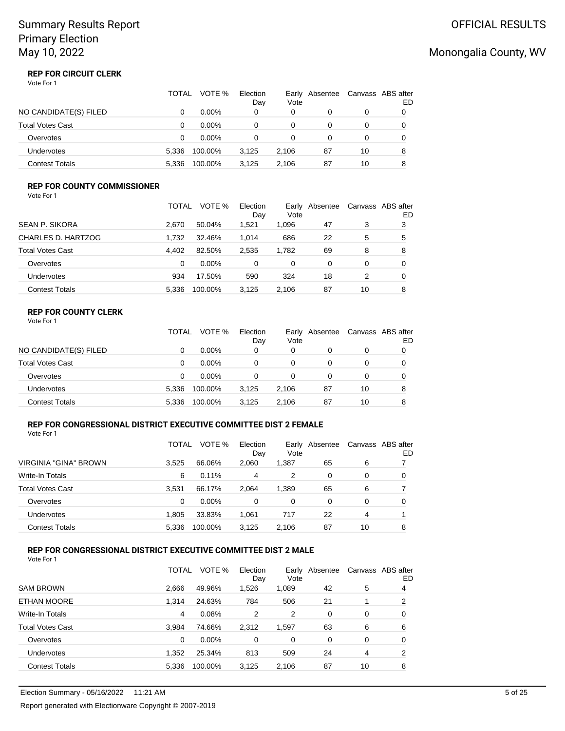### **REP FOR CIRCUIT CLERK** Vote For 1

|                         | TOTAL | VOTE %   | Election<br>Day | Earlv<br>Vote | Absentee | Canvass ABS after | ED |
|-------------------------|-------|----------|-----------------|---------------|----------|-------------------|----|
| NO CANDIDATE(S) FILED   | 0     | $0.00\%$ | 0               | 0             | 0        | 0                 |    |
| <b>Total Votes Cast</b> | 0     | $0.00\%$ | 0               | 0             | 0        | 0                 |    |
| Overvotes               | 0     | $0.00\%$ | 0               | 0             | 0        | 0                 |    |
| Undervotes              | 5.336 | 100.00%  | 3.125           | 2.106         | 87       | 10                | 8  |
| <b>Contest Totals</b>   | 5.336 | 100.00%  | 3.125           | 2.106         | 87       | 10                | 8  |

## **REP FOR COUNTY COMMISSIONER**

| Vote For 1 |  |
|------------|--|
|------------|--|

|                       | TOTAL    | VOTE %   | Election<br>Day | Vote  | Early Absentee |    | Canvass ABS after<br>ED |
|-----------------------|----------|----------|-----------------|-------|----------------|----|-------------------------|
| SEAN P. SIKORA        | 2.670    | 50.04%   | 1.521           | 1.096 | 47             | 3  | 3                       |
| CHARLES D. HARTZOG    | 1.732    | 32.46%   | 1.014           | 686   | 22             | 5  | 5                       |
| Total Votes Cast      | 4.402    | 82.50%   | 2.535           | 1.782 | 69             | 8  | 8                       |
| Overvotes             | $\Omega$ | $0.00\%$ | 0               | 0     | 0              | 0  | 0                       |
| <b>Undervotes</b>     | 934      | 17.50%   | 590             | 324   | 18             | 2  | 0                       |
| <b>Contest Totals</b> | 5.336    | 100.00%  | 3.125           | 2.106 | 87             | 10 | 8                       |

### **REP FOR COUNTY CLERK** Vote For 1

|                         | TOTAL | VOTE %   | Election<br>Day | Early<br>Vote | Absentee |    | Canvass ABS after<br>ED |
|-------------------------|-------|----------|-----------------|---------------|----------|----|-------------------------|
| NO CANDIDATE(S) FILED   |       | $0.00\%$ | 0               | 0             |          | 0  |                         |
| <b>Total Votes Cast</b> | 0     | $0.00\%$ | 0               |               |          | 0  |                         |
| Overvotes               | 0     | $0.00\%$ | 0               |               |          | 0  |                         |
| <b>Undervotes</b>       | 5.336 | 100.00%  | 3.125           | 2.106         | 87       | 10 | 8                       |
| <b>Contest Totals</b>   | 5.336 | 100.00%  | 3.125           | 2.106         | 87       | 10 | 8                       |

## **REP FOR CONGRESSIONAL DISTRICT EXECUTIVE COMMITTEE DIST 2 FEMALE**

Vote For 1

|                         | TOTAL | VOTE %   | Election<br>Day | Vote  | Early Absentee |    | Canvass ABS after<br>ED |
|-------------------------|-------|----------|-----------------|-------|----------------|----|-------------------------|
| VIRGINIA "GINA" BROWN   | 3.525 | 66.06%   | 2.060           | 1,387 | 65             | 6  |                         |
| Write-In Totals         | 6     | $0.11\%$ | 4               | 2     | 0              | 0  | 0                       |
| <b>Total Votes Cast</b> | 3.531 | 66.17%   | 2.064           | 1,389 | 65             | 6  |                         |
| Overvotes               | 0     | $0.00\%$ | 0               | 0     | 0              | 0  | 0                       |
| Undervotes              | 1.805 | 33.83%   | 1,061           | 717   | 22             | 4  |                         |
| <b>Contest Totals</b>   | 5.336 | 100.00%  | 3,125           | 2.106 | 87             | 10 | 8                       |

#### **REP FOR CONGRESSIONAL DISTRICT EXECUTIVE COMMITTEE DIST 2 MALE** Vote For 1

| 1 U U U                 |              |         |                 |       |                |          |                         |
|-------------------------|--------------|---------|-----------------|-------|----------------|----------|-------------------------|
|                         | <b>TOTAL</b> | VOTE %  | Election<br>Day | Vote  | Early Absentee |          | Canvass ABS after<br>ED |
| <b>SAM BROWN</b>        | 2,666        | 49.96%  | 1,526           | 1,089 | 42             | 5        | 4                       |
| ETHAN MOORE             | 1.314        | 24.63%  | 784             | 506   | 21             |          | 2                       |
| Write-In Totals         | 4            | 0.08%   | 2               | 2     | 0              | 0        | 0                       |
| <b>Total Votes Cast</b> | 3.984        | 74.66%  | 2,312           | 1,597 | 63             | 6        | 6                       |
| Overvotes               | $\Omega$     | 0.00%   | 0               | 0     | 0              | $\Omega$ | 0                       |
| <b>Undervotes</b>       | 1,352        | 25.34%  | 813             | 509   | 24             | 4        | 2                       |
| <b>Contest Totals</b>   | 5.336        | 100.00% | 3.125           | 2.106 | 87             | 10       | 8                       |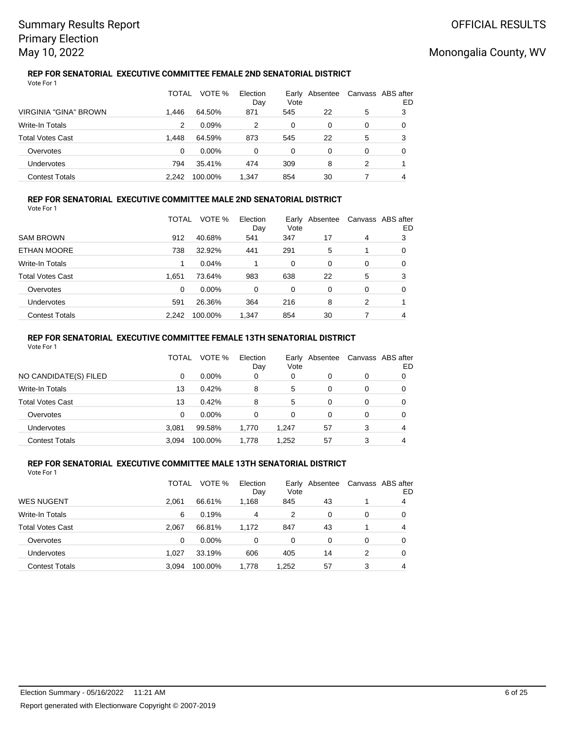### **REP FOR SENATORIAL EXECUTIVE COMMITTEE FEMALE 2ND SENATORIAL DISTRICT** Vote For 1

|                         | TOTAL | VOTE %   | Election<br>Day | Vote     | Early Absentee | Canvass ABS after | ED |
|-------------------------|-------|----------|-----------------|----------|----------------|-------------------|----|
| VIRGINIA "GINA" BROWN   | 1.446 | 64.50%   | 871             | 545      | 22             | 5                 | 3  |
| Write-In Totals         | 2     | 0.09%    |                 | 0        | 0              | 0                 | O  |
| <b>Total Votes Cast</b> | 1.448 | 64.59%   | 873             | 545      | 22             | 5                 | 3  |
| Overvotes               | 0     | $0.00\%$ | $\Omega$        | $\Omega$ | 0              | 0                 | O  |
| Undervotes              | 794   | 35.41%   | 474             | 309      | 8              | 2                 |    |
| <b>Contest Totals</b>   | 2.242 | 100.00%  | 1.347           | 854      | 30             |                   | 4  |

### **REP FOR SENATORIAL EXECUTIVE COMMITTEE MALE 2ND SENATORIAL DISTRICT** Vote For 1

|                         | TOTAL | VOTE %   | Election<br>Day | Vote | Early Absentee |   | Canvass ABS after<br>ED |
|-------------------------|-------|----------|-----------------|------|----------------|---|-------------------------|
| <b>SAM BROWN</b>        | 912   | 40.68%   | 541             | 347  | 17             | 4 | 3                       |
| ETHAN MOORE             | 738   | 32.92%   | 441             | 291  | 5              |   | 0                       |
| Write-In Totals         |       | 0.04%    |                 | 0    | 0              | 0 | 0                       |
| <b>Total Votes Cast</b> | 1.651 | 73.64%   | 983             | 638  | 22             | 5 | 3                       |
| Overvotes               | 0     | $0.00\%$ | 0               | 0    | 0              | 0 | 0                       |
| Undervotes              | 591   | 26.36%   | 364             | 216  | 8              | 2 |                         |
| <b>Contest Totals</b>   | 2.242 | 100.00%  | 1.347           | 854  | 30             |   | 4                       |

## **REP FOR SENATORIAL EXECUTIVE COMMITTEE FEMALE 13TH SENATORIAL DISTRICT**

| Vote For 1              |       |          |                 |       |                |   |                         |
|-------------------------|-------|----------|-----------------|-------|----------------|---|-------------------------|
|                         | TOTAL | VOTE %   | Election<br>Day | Vote  | Early Absentee |   | Canvass ABS after<br>ED |
| NO CANDIDATE(S) FILED   | 0     | $0.00\%$ | 0               | 0     | 0              | 0 | 0                       |
| <b>Write-In Totals</b>  | 13    | 0.42%    | 8               | 5     | 0              | 0 | 0                       |
| <b>Total Votes Cast</b> | 13    | 0.42%    | 8               | 5     | 0              | 0 | 0                       |
| Overvotes               | 0     | $0.00\%$ | 0               | 0     | 0              | 0 | 0                       |
| <b>Undervotes</b>       | 3.081 | 99.58%   | 1,770           | 1,247 | 57             | 3 | 4                       |
| <b>Contest Totals</b>   | 3.094 | 100.00%  | 1.778           | 1.252 | 57             | 3 | 4                       |

### **REP FOR SENATORIAL EXECUTIVE COMMITTEE MALE 13TH SENATORIAL DISTRICT** Vote For 1

|                         | TOTAL | VOTE %  | Election<br>Day | Early<br>Vote | Absentee |          | Canvass ABS after<br>ED |
|-------------------------|-------|---------|-----------------|---------------|----------|----------|-------------------------|
| <b>WES NUGENT</b>       | 2.061 | 66.61%  | 1,168           | 845           | 43       |          | 4                       |
| Write-In Totals         | 6     | 0.19%   | 4               | 2             | 0        | 0        | 0                       |
| <b>Total Votes Cast</b> | 2.067 | 66.81%  | 1,172           | 847           | 43       |          | 4                       |
| Overvotes               | 0     | 0.00%   | 0               | 0             | 0        | $\Omega$ | 0                       |
| Undervotes              | 1.027 | 33.19%  | 606             | 405           | 14       | 2        | 0                       |
| <b>Contest Totals</b>   | 3,094 | 100.00% | 1,778           | 1,252         | 57       | 3        | 4                       |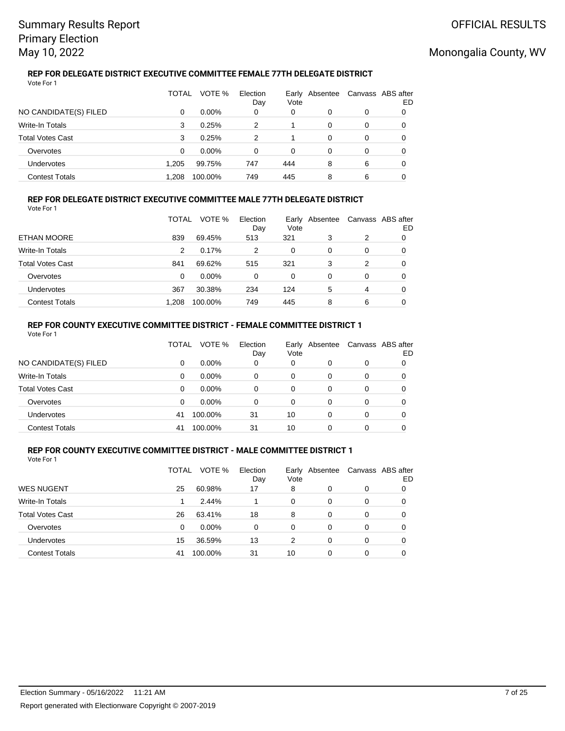### **REP FOR DELEGATE DISTRICT EXECUTIVE COMMITTEE FEMALE 77TH DELEGATE DISTRICT** Vote For 1

|                         | TOTAL | VOTE %   | Election<br>Day | Early<br>Vote | Absentee |          | Canvass ABS after<br>ED |
|-------------------------|-------|----------|-----------------|---------------|----------|----------|-------------------------|
| NO CANDIDATE(S) FILED   | 0     | $0.00\%$ | 0               | 0             | 0        | $\Omega$ | 0                       |
| Write-In Totals         | 3     | 0.25%    | 2               |               | $\Omega$ | $\Omega$ | 0                       |
| <b>Total Votes Cast</b> | 3     | 0.25%    | 2               |               | $\Omega$ | 0        | 0                       |
| Overvotes               | 0     | $0.00\%$ | 0               | 0             | 0        | 0        | 0                       |
| Undervotes              | 1.205 | 99.75%   | 747             | 444           | 8        | 6        | 0                       |
| <b>Contest Totals</b>   | 1.208 | 100.00%  | 749             | 445           | 8        | 6        |                         |

### **REP FOR DELEGATE DISTRICT EXECUTIVE COMMITTEE MALE 77TH DELEGATE DISTRICT** Vote For 1

|                         | TOTAL | VOTE %   | Election<br>Day | Early<br>Vote | Absentee |   | Canvass ABS after<br>ED |
|-------------------------|-------|----------|-----------------|---------------|----------|---|-------------------------|
| ETHAN MOORE             | 839   | 69.45%   | 513             | 321           | 3        | 2 | O                       |
| Write-In Totals         | 2     | 0.17%    | 2               | 0             | $\Omega$ | 0 | O                       |
| <b>Total Votes Cast</b> | 841   | 69.62%   | 515             | 321           | 3        | 2 | 0                       |
| Overvotes               | 0     | $0.00\%$ | 0               | 0             | 0        | 0 | O                       |
| Undervotes              | 367   | 30.38%   | 234             | 124           | 5        | 4 | 0                       |
| <b>Contest Totals</b>   | 1.208 | 100.00%  | 749             | 445           | 8        | 6 |                         |

### **REP FOR COUNTY EXECUTIVE COMMITTEE DISTRICT - FEMALE COMMITTEE DISTRICT 1** Vote For 1

|                         | TOTAL | VOTE %   | Election<br>Day | Vote | Early Absentee | Canvass ABS after | ED |
|-------------------------|-------|----------|-----------------|------|----------------|-------------------|----|
| NO CANDIDATE(S) FILED   | 0     | $0.00\%$ | 0               | 0    | 0              | 0                 |    |
| Write-In Totals         | 0     | $0.00\%$ | 0               | 0    | 0              | 0                 |    |
| <b>Total Votes Cast</b> | 0     | $0.00\%$ | 0               | 0    | 0              | 0                 |    |
| Overvotes               | 0     | $0.00\%$ | 0               | 0    | 0              | 0                 |    |
| Undervotes              | 41    | 100.00%  | 31              | 10   | 0              | 0                 |    |
| <b>Contest Totals</b>   | 41    | 100.00%  | 31              | 10   | ი              | 0                 |    |

#### **REP FOR COUNTY EXECUTIVE COMMITTEE DISTRICT - MALE COMMITTEE DISTRICT 1** Vote For 1

|                         | TOTAL | VOTE %  | Election<br>Day | Vote | Early Absentee | Canvass ABS after | ED |
|-------------------------|-------|---------|-----------------|------|----------------|-------------------|----|
| <b>WES NUGENT</b>       | 25    | 60.98%  | 17              | 8    | 0              | 0                 |    |
| Write-In Totals         |       | 2.44%   |                 | 0    | 0              | 0                 | 0  |
| <b>Total Votes Cast</b> | 26    | 63.41%  | 18              | 8    | 0              | 0                 | 0  |
| Overvotes               | 0     | 0.00%   | 0               | 0    | 0              | 0                 |    |
| Undervotes              | 15    | 36.59%  | 13              | 2    | 0              | 0                 |    |
| <b>Contest Totals</b>   | 41    | 100.00% | 31              | 10   | 0              | 0                 |    |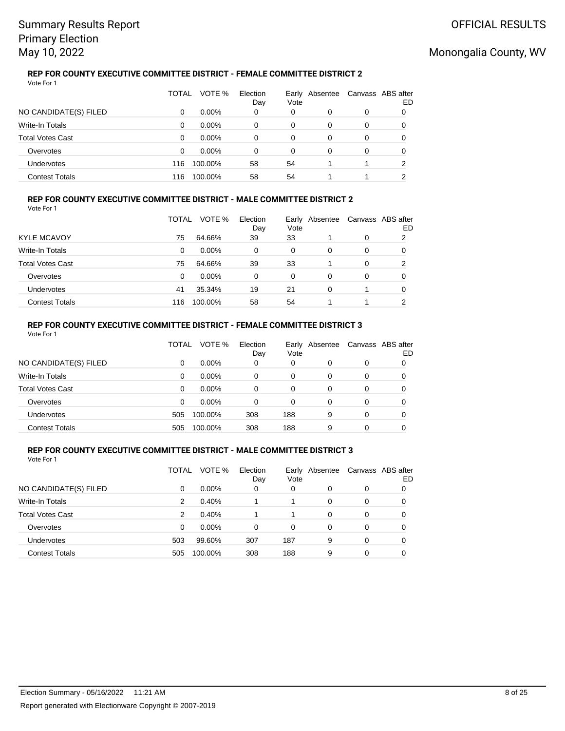### **REP FOR COUNTY EXECUTIVE COMMITTEE DISTRICT - FEMALE COMMITTEE DISTRICT 2** Vote For 1

|                         | TOTAL | VOTE %   | Election<br>Day | Vote | Early Absentee |   | Canvass ABS after<br>ED |
|-------------------------|-------|----------|-----------------|------|----------------|---|-------------------------|
| NO CANDIDATE(S) FILED   | 0     | $0.00\%$ | 0               | 0    | O              | 0 |                         |
| Write-In Totals         | 0     | $0.00\%$ | 0               | 0    | 0              | 0 |                         |
| <b>Total Votes Cast</b> | 0     | $0.00\%$ | 0               | 0    | 0              | 0 | 0                       |
| Overvotes               | 0     | $0.00\%$ | 0               | 0    | 0              | 0 |                         |
| Undervotes              | 116   | 100.00%  | 58              | 54   |                |   | 2                       |
| <b>Contest Totals</b>   | 116   | 100.00%  | 58              | 54   |                |   |                         |

### **REP FOR COUNTY EXECUTIVE COMMITTEE DISTRICT - MALE COMMITTEE DISTRICT 2** Vote For 1

|                         | TOTAL | VOTE %   | Election<br>Day | Early<br>Vote | Absentee | Canvass ABS after | ED |
|-------------------------|-------|----------|-----------------|---------------|----------|-------------------|----|
| <b>KYLE MCAVOY</b>      | 75    | 64.66%   | 39              | 33            |          | 0                 | 2  |
| Write-In Totals         | 0     | $0.00\%$ | 0               | 0             | 0        | 0                 | 0  |
| <b>Total Votes Cast</b> | 75    | 64.66%   | 39              | 33            |          | 0                 | 2  |
| Overvotes               | 0     | $0.00\%$ | 0               | 0             | 0        | 0                 | 0  |
| Undervotes              | 41    | 35.34%   | 19              | 21            | $\Omega$ |                   | 0  |
| <b>Contest Totals</b>   | 116   | 100.00%  | 58              | 54            |          |                   | ົ  |

### **REP FOR COUNTY EXECUTIVE COMMITTEE DISTRICT - FEMALE COMMITTEE DISTRICT 3** Vote For 1

|                         | TOTAL | VOTE %   | Election<br>Day | Vote | Early Absentee | Canvass ABS after | ED |
|-------------------------|-------|----------|-----------------|------|----------------|-------------------|----|
| NO CANDIDATE(S) FILED   | 0     | $0.00\%$ | 0               | 0    | 0              | 0                 |    |
| Write-In Totals         | 0     | $0.00\%$ | 0               | 0    | 0              | 0                 |    |
| <b>Total Votes Cast</b> | 0     | $0.00\%$ | 0               | 0    | 0              | 0                 |    |
| Overvotes               | 0     | $0.00\%$ | 0               | 0    | 0              | 0                 |    |
| Undervotes              | 505   | 100.00%  | 308             | 188  | 9              | 0                 |    |
| <b>Contest Totals</b>   | 505   | 100.00%  | 308             | 188  | 9              | 0                 |    |

#### **REP FOR COUNTY EXECUTIVE COMMITTEE DISTRICT - MALE COMMITTEE DISTRICT 3** Vote For 1

|                         | TOTAL | VOTE %   | Election<br>Day | Earlv<br>Vote | Absentee | Canvass ABS after | ED |
|-------------------------|-------|----------|-----------------|---------------|----------|-------------------|----|
| NO CANDIDATE(S) FILED   | 0     | 0.00%    | 0               | 0             | 0        | 0                 |    |
| <b>Write-In Totals</b>  | 2     | 0.40%    |                 |               | 0        | 0                 | 0  |
| <b>Total Votes Cast</b> | 2     | 0.40%    |                 |               | 0        | 0                 | 0  |
| Overvotes               | 0     | $0.00\%$ | 0               | 0             | 0        | 0                 | 0  |
| Undervotes              | 503   | 99.60%   | 307             | 187           | 9        | 0                 | 0  |
| <b>Contest Totals</b>   | 505   | 100.00%  | 308             | 188           | 9        | 0                 |    |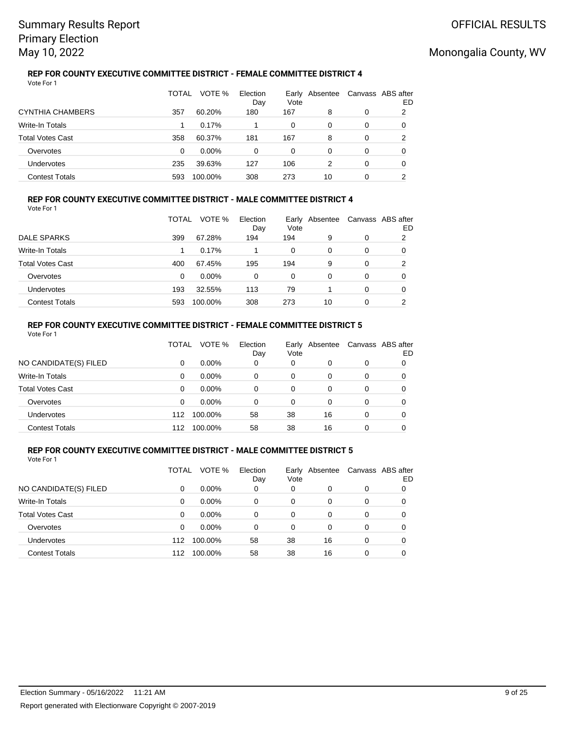### **REP FOR COUNTY EXECUTIVE COMMITTEE DISTRICT - FEMALE COMMITTEE DISTRICT 4** Vote For 1

|                         | TOTAL | VOTE %   | Election<br>Day | Vote | Early Absentee |   | Canvass ABS after<br>ED |
|-------------------------|-------|----------|-----------------|------|----------------|---|-------------------------|
| CYNTHIA CHAMBERS        | 357   | 60.20%   | 180             | 167  | 8              | 0 | 2                       |
| Write-In Totals         |       | 0.17%    |                 | 0    | 0              | 0 |                         |
| <b>Total Votes Cast</b> | 358   | 60.37%   | 181             | 167  | 8              | 0 | 2                       |
| Overvotes               | 0     | $0.00\%$ | 0               | 0    | $\Omega$       | 0 | 0                       |
| Undervotes              | 235   | 39.63%   | 127             | 106  | 2              | 0 | 0                       |
| <b>Contest Totals</b>   | 593   | 100.00%  | 308             | 273  | 10             | 0 | ົ                       |

### **REP FOR COUNTY EXECUTIVE COMMITTEE DISTRICT - MALE COMMITTEE DISTRICT 4** Vote For 1

|                         | TOTAL | VOTE %   | Election<br>Day | Early<br>Vote | Absentee |   | Canvass ABS after<br>ED |
|-------------------------|-------|----------|-----------------|---------------|----------|---|-------------------------|
| DALE SPARKS             | 399   | 67.28%   | 194             | 194           | 9        | 0 | 2                       |
| Write-In Totals         |       | 0.17%    |                 | 0             | $\Omega$ | 0 | 0                       |
| <b>Total Votes Cast</b> | 400   | 67.45%   | 195             | 194           | 9        | 0 | 2                       |
| Overvotes               | 0     | $0.00\%$ | 0               | 0             | 0        | 0 | O                       |
| Undervotes              | 193   | 32.55%   | 113             | 79            |          | 0 | 0                       |
| <b>Contest Totals</b>   | 593   | 100.00%  | 308             | 273           | 10       | 0 | ົ                       |

### **REP FOR COUNTY EXECUTIVE COMMITTEE DISTRICT - FEMALE COMMITTEE DISTRICT 5** Vote For 1

|                         | TOTAL | VOTE %   | Election<br>Day | Early<br>Vote | Absentee | Canvass ABS after | ED |
|-------------------------|-------|----------|-----------------|---------------|----------|-------------------|----|
| NO CANDIDATE(S) FILED   | 0     | $0.00\%$ | 0               | 0             | 0        | 0                 |    |
| <b>Write-In Totals</b>  | 0     | $0.00\%$ | 0               | 0             | 0        | 0                 |    |
| <b>Total Votes Cast</b> | 0     | $0.00\%$ | 0               | 0             | 0        | 0                 |    |
| Overvotes               | 0     | $0.00\%$ | 0               | 0             | 0        | 0                 |    |
| Undervotes              | 112   | 100.00%  | 58              | 38            | 16       | 0                 | 0  |
| <b>Contest Totals</b>   | 112   | 100.00%  | 58              | 38            | 16       | 0                 |    |

#### **REP FOR COUNTY EXECUTIVE COMMITTEE DISTRICT - MALE COMMITTEE DISTRICT 5** Vote For 1

|                         | TOTAL | VOTE %   | Election<br>Day | Earlv<br>Vote | Absentee | Canvass ABS after | ED |
|-------------------------|-------|----------|-----------------|---------------|----------|-------------------|----|
| NO CANDIDATE(S) FILED   | 0     | 0.00%    | 0               | 0             | 0        | 0                 |    |
| <b>Write-In Totals</b>  | 0     | $0.00\%$ | 0               | 0             | 0        | 0                 | 0  |
| <b>Total Votes Cast</b> | 0     | $0.00\%$ | 0               | 0             | 0        | 0                 | 0  |
| Overvotes               | 0     | $0.00\%$ | 0               | 0             | 0        | 0                 | 0  |
| Undervotes              | 112   | 100.00%  | 58              | 38            | 16       | 0                 | 0  |
| <b>Contest Totals</b>   | 112   | 100.00%  | 58              | 38            | 16       | 0                 |    |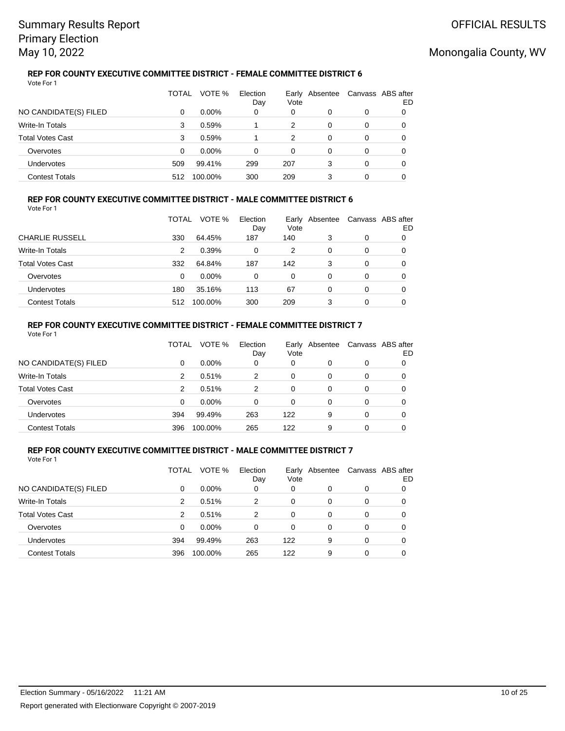### **REP FOR COUNTY EXECUTIVE COMMITTEE DISTRICT - FEMALE COMMITTEE DISTRICT 6** Vote For 1

|                         | TOTAL | VOTE %   | Election<br>Day | Vote | Early Absentee |   | Canvass ABS after<br>ED |
|-------------------------|-------|----------|-----------------|------|----------------|---|-------------------------|
| NO CANDIDATE(S) FILED   | 0     | $0.00\%$ | 0               | 0    | 0              | 0 |                         |
| Write-In Totals         | 3     | 0.59%    |                 | 2    | 0              | 0 |                         |
| <b>Total Votes Cast</b> | 3     | 0.59%    |                 | 2    | 0              | 0 |                         |
| Overvotes               | 0     | $0.00\%$ | 0               | 0    | 0              | 0 |                         |
| Undervotes              | 509   | 99.41%   | 299             | 207  | 3              | 0 |                         |
| <b>Contest Totals</b>   | 512   | 100.00%  | 300             | 209  | 3              | 0 |                         |

### **REP FOR COUNTY EXECUTIVE COMMITTEE DISTRICT - MALE COMMITTEE DISTRICT 6** Vote For 1

|                         | TOTAL | VOTE %   | Election<br>Day | Early<br>Vote | Absentee |   | Canvass ABS after<br>ED |
|-------------------------|-------|----------|-----------------|---------------|----------|---|-------------------------|
| <b>CHARLIE RUSSELL</b>  | 330   | 64.45%   | 187             | 140           | 3        | 0 | O                       |
| Write-In Totals         | 2     | 0.39%    | 0               | 2             | 0        | 0 | 0                       |
| <b>Total Votes Cast</b> | 332   | 64.84%   | 187             | 142           | 3        | 0 | 0                       |
| Overvotes               | 0     | $0.00\%$ | 0               | 0             | 0        | 0 | 0                       |
| Undervotes              | 180   | 35.16%   | 113             | 67            | 0        | 0 | 0                       |
| <b>Contest Totals</b>   | 512   | 100.00%  | 300             | 209           | 3        | 0 |                         |

### **REP FOR COUNTY EXECUTIVE COMMITTEE DISTRICT - FEMALE COMMITTEE DISTRICT 7** Vote For 1

|                         | TOTAL         | VOTE %   | Election<br>Day | Vote | Early Absentee |   | Canvass ABS after<br>ED |
|-------------------------|---------------|----------|-----------------|------|----------------|---|-------------------------|
| NO CANDIDATE(S) FILED   | 0             | $0.00\%$ | 0               | 0    | 0              | 0 |                         |
| Write-In Totals         | 2             | 0.51%    | 2               | 0    | 0              | 0 |                         |
| <b>Total Votes Cast</b> | $\mathcal{P}$ | 0.51%    | 2               | 0    | 0              | 0 |                         |
| Overvotes               | 0             | $0.00\%$ | 0               | 0    | 0              | 0 |                         |
| Undervotes              | 394           | 99.49%   | 263             | 122  | 9              | 0 | O                       |
| <b>Contest Totals</b>   | 396           | 100.00%  | 265             | 122  | 9              | 0 |                         |

#### **REP FOR COUNTY EXECUTIVE COMMITTEE DISTRICT - MALE COMMITTEE DISTRICT 7** Vote For 1

|                         | TOTAL | VOTE %   | Election<br>Day | Early<br>Vote | Absentee |   | Canvass ABS after<br>ED |
|-------------------------|-------|----------|-----------------|---------------|----------|---|-------------------------|
| NO CANDIDATE(S) FILED   | 0     | 0.00%    | 0               | 0             | 0        | 0 | O                       |
| <b>Write-In Totals</b>  | 2     | 0.51%    | 2               | 0             | 0        | 0 | 0                       |
| <b>Total Votes Cast</b> | 2     | 0.51%    | 2               | 0             | 0        | 0 | 0                       |
| Overvotes               | 0     | $0.00\%$ | 0               | 0             | 0        | 0 | 0                       |
| <b>Undervotes</b>       | 394   | 99.49%   | 263             | 122           | 9        | 0 | 0                       |
| <b>Contest Totals</b>   | 396   | 100.00%  | 265             | 122           | 9        | 0 |                         |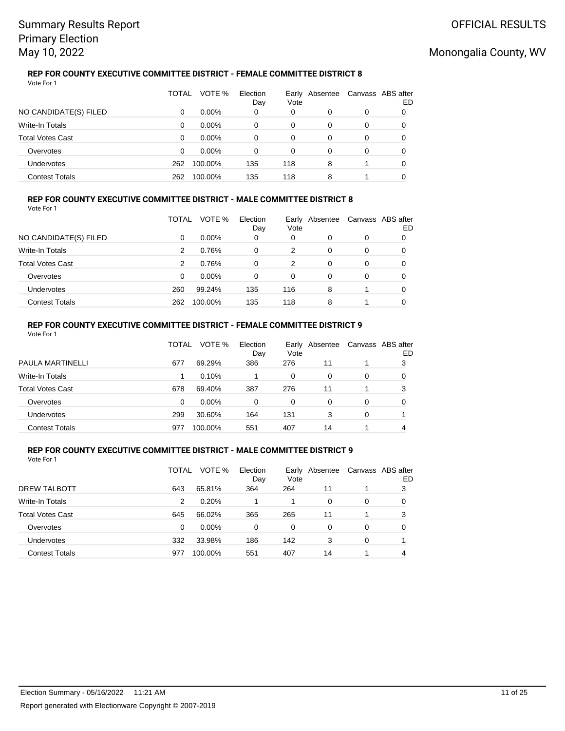### **REP FOR COUNTY EXECUTIVE COMMITTEE DISTRICT - FEMALE COMMITTEE DISTRICT 8** Vote For 1

|                         | TOTAL | VOTE %   | Election<br>Day | Vote | Early Absentee |   | Canvass ABS after<br>ED |
|-------------------------|-------|----------|-----------------|------|----------------|---|-------------------------|
| NO CANDIDATE(S) FILED   | 0     | $0.00\%$ | 0               | 0    | 0              | 0 |                         |
| Write-In Totals         | 0     | $0.00\%$ | 0               | 0    | 0              | 0 |                         |
| <b>Total Votes Cast</b> | 0     | $0.00\%$ | 0               | 0    | 0              | 0 |                         |
| Overvotes               | 0     | $0.00\%$ | 0               | 0    | 0              | 0 |                         |
| <b>Undervotes</b>       | 262   | 100.00%  | 135             | 118  | 8              |   |                         |
| <b>Contest Totals</b>   | 262   | 100.00%  | 135             | 118  | 8              |   |                         |

### **REP FOR COUNTY EXECUTIVE COMMITTEE DISTRICT - MALE COMMITTEE DISTRICT 8** Vote For 1

|                         | TOTAL | VOTE %   | Election<br>Day | Early<br>Vote | Absentee |   | Canvass ABS after<br>ED |
|-------------------------|-------|----------|-----------------|---------------|----------|---|-------------------------|
| NO CANDIDATE(S) FILED   | 0     | $0.00\%$ | 0               | 0             | 0        | 0 | 0                       |
| Write-In Totals         | 2     | 0.76%    | 0               | 2             | 0        | 0 | O                       |
| <b>Total Votes Cast</b> | 2     | 0.76%    | $\Omega$        | 2             | 0        | 0 | O                       |
| Overvotes               | 0     | $0.00\%$ | 0               | 0             | 0        | 0 | O                       |
| <b>Undervotes</b>       | 260   | 99.24%   | 135             | 116           | 8        |   | 0                       |
| <b>Contest Totals</b>   | 262   | 100.00%  | 135             | 118           | 8        |   |                         |

### **REP FOR COUNTY EXECUTIVE COMMITTEE DISTRICT - FEMALE COMMITTEE DISTRICT 9** Vote For 1

|                         | TOTAL | VOTE %   | Election<br>Day | Early<br>Vote | Absentee |   | Canvass ABS after<br>ED |
|-------------------------|-------|----------|-----------------|---------------|----------|---|-------------------------|
| <b>PAULA MARTINELLI</b> | 677   | 69.29%   | 386             | 276           | 11       |   | 3                       |
| Write-In Totals         |       | 0.10%    |                 | 0             | 0        | 0 |                         |
| <b>Total Votes Cast</b> | 678   | 69.40%   | 387             | 276           | 11       |   | 3                       |
| Overvotes               | 0     | $0.00\%$ | $\Omega$        | 0             | 0        | 0 | 0                       |
| Undervotes              | 299   | 30.60%   | 164             | 131           | 3        | 0 |                         |
| <b>Contest Totals</b>   | 977   | 100.00%  | 551             | 407           | 14       |   |                         |

#### **REP FOR COUNTY EXECUTIVE COMMITTEE DISTRICT - MALE COMMITTEE DISTRICT 9** Vote For 1

|                         | TOTAL | VOTE %   | Election<br>Day | Early<br>Vote | Absentee |   | Canvass ABS after<br>ED |
|-------------------------|-------|----------|-----------------|---------------|----------|---|-------------------------|
| DREW TALBOTT            | 643   | 65.81%   | 364             | 264           | 11       |   | 3                       |
| <b>Write-In Totals</b>  | 2     | 0.20%    |                 |               | 0        | 0 | O                       |
| <b>Total Votes Cast</b> | 645   | 66.02%   | 365             | 265           | 11       |   | 3                       |
| Overvotes               | 0     | $0.00\%$ | 0               | 0             | 0        | 0 | 0                       |
| <b>Undervotes</b>       | 332   | 33.98%   | 186             | 142           | 3        | 0 |                         |
| <b>Contest Totals</b>   | 977   | 100.00%  | 551             | 407           | 14       |   | 4                       |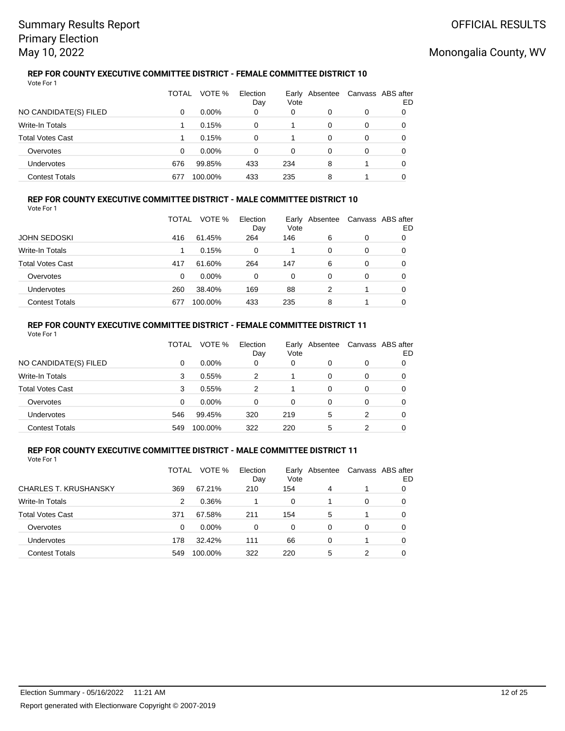### **REP FOR COUNTY EXECUTIVE COMMITTEE DISTRICT - FEMALE COMMITTEE DISTRICT 10** Vote For 1

|                         | TOTAL | VOTE %   | Election<br>Day | Vote | Early Absentee |   | Canvass ABS after<br>ED |
|-------------------------|-------|----------|-----------------|------|----------------|---|-------------------------|
| NO CANDIDATE(S) FILED   | 0     | $0.00\%$ | 0               | 0    | 0              | 0 |                         |
| Write-In Totals         |       | 0.15%    | 0               |      | 0              | 0 |                         |
| <b>Total Votes Cast</b> |       | 0.15%    | 0               |      | 0              | 0 | 0                       |
| Overvotes               | 0     | $0.00\%$ | 0               | 0    | 0              | 0 |                         |
| Undervotes              | 676   | 99.85%   | 433             | 234  | 8              |   |                         |
| <b>Contest Totals</b>   | 677   | 100.00%  | 433             | 235  | 8              |   |                         |

### **REP FOR COUNTY EXECUTIVE COMMITTEE DISTRICT - MALE COMMITTEE DISTRICT 10** Vote For 1

|                         | TOTAL | VOTE %   | Election<br>Day | Early<br>Vote | Absentee | Canvass ABS after | ED |
|-------------------------|-------|----------|-----------------|---------------|----------|-------------------|----|
| <b>JOHN SEDOSKI</b>     | 416   | 61.45%   | 264             | 146           | 6        | 0                 | O  |
| Write-In Totals         |       | 0.15%    | 0               |               | 0        | 0                 | 0  |
| <b>Total Votes Cast</b> | 417   | 61.60%   | 264             | 147           | 6        | 0                 | O  |
| Overvotes               | 0     | $0.00\%$ | 0               | 0             | $\Omega$ | 0                 | O  |
| Undervotes              | 260   | 38.40%   | 169             | 88            | 2        |                   | 0  |
| <b>Contest Totals</b>   | 677   | 100.00%  | 433             | 235           | 8        |                   | 0  |

### **REP FOR COUNTY EXECUTIVE COMMITTEE DISTRICT - FEMALE COMMITTEE DISTRICT 11** Vote For 1

|                         | TOTAL | VOTE %   | Election<br>Day | Vote | Early Absentee |   | Canvass ABS after<br>ED |
|-------------------------|-------|----------|-----------------|------|----------------|---|-------------------------|
| NO CANDIDATE(S) FILED   | 0     | $0.00\%$ | 0               | 0    | 0              | 0 |                         |
| Write-In Totals         | 3     | 0.55%    | 2               |      | 0              | 0 |                         |
| <b>Total Votes Cast</b> | 3     | 0.55%    | 2               |      | 0              | 0 | 0                       |
| Overvotes               | 0     | $0.00\%$ | 0               | 0    | 0              | 0 | 0                       |
| Undervotes              | 546   | 99.45%   | 320             | 219  | 5              | 2 | 0                       |
| <b>Contest Totals</b>   | 549   | 100.00%  | 322             | 220  | 5              | 2 |                         |

#### **REP FOR COUNTY EXECUTIVE COMMITTEE DISTRICT - MALE COMMITTEE DISTRICT 11** Vote For 1

|                              | TOTAL | VOTE %   | Election<br>Day | Vote     | Early Absentee |          | Canvass ABS after<br>ED |
|------------------------------|-------|----------|-----------------|----------|----------------|----------|-------------------------|
| <b>CHARLES T. KRUSHANSKY</b> | 369   | 67.21%   | 210             | 154      | 4              |          |                         |
| <b>Write-In Totals</b>       | 2     | 0.36%    |                 | $\Omega$ |                | $\Omega$ |                         |
| <b>Total Votes Cast</b>      | 371   | 67.58%   | 211             | 154      | 5              |          |                         |
| Overvotes                    | 0     | $0.00\%$ | 0               | $\Omega$ | $\Omega$       | $\Omega$ | 0                       |
| <b>Undervotes</b>            | 178   | 32.42%   | 111             | 66       | 0              |          | 0                       |
| <b>Contest Totals</b>        | 549   | 100.00%  | 322             | 220      | 5              |          |                         |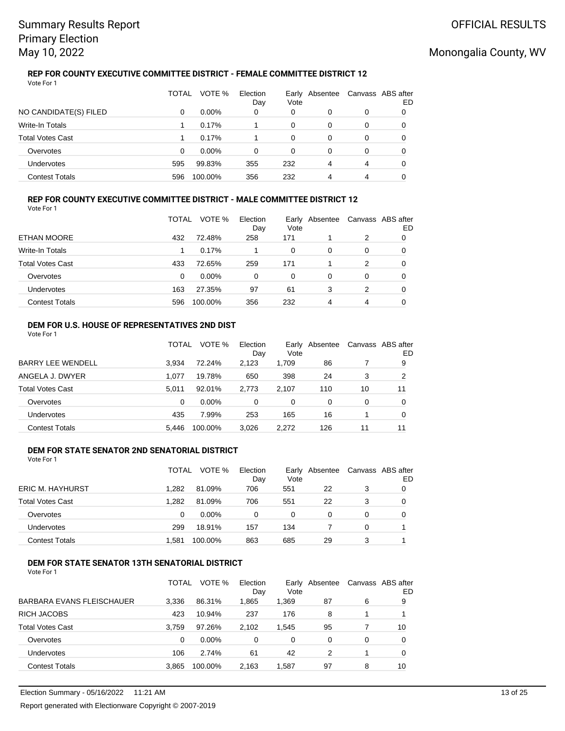### **REP FOR COUNTY EXECUTIVE COMMITTEE DISTRICT - FEMALE COMMITTEE DISTRICT 12** Vote For 1

|                         | TOTAL | VOTE %   | Election<br>Day | Vote | Early Absentee |   | Canvass ABS after<br>ED |
|-------------------------|-------|----------|-----------------|------|----------------|---|-------------------------|
| NO CANDIDATE(S) FILED   | 0     | $0.00\%$ | 0               | 0    |                | 0 |                         |
| Write-In Totals         |       | 0.17%    |                 | 0    | 0              | 0 | 0                       |
| <b>Total Votes Cast</b> |       | 0.17%    |                 | 0    | 0              | 0 | 0                       |
| Overvotes               | 0     | $0.00\%$ | 0               | 0    | 0              | 0 |                         |
| Undervotes              | 595   | 99.83%   | 355             | 232  | 4              | 4 |                         |
| <b>Contest Totals</b>   | 596   | 100.00%  | 356             | 232  | 4              | 4 |                         |

### **REP FOR COUNTY EXECUTIVE COMMITTEE DISTRICT - MALE COMMITTEE DISTRICT 12** Vote For 1

|                         | TOTAL    | VOTE %   | Election<br>Day | Vote     | Early Absentee | Canvass ABS after | ED |
|-------------------------|----------|----------|-----------------|----------|----------------|-------------------|----|
| ETHAN MOORE             | 432      | 72.48%   | 258             | 171      |                | 2                 | O  |
| Write-In Totals         |          | 0.17%    |                 | $\Omega$ | 0              | 0                 | O  |
| <b>Total Votes Cast</b> | 433      | 72.65%   | 259             | 171      |                | 2                 | O  |
| Overvotes               | $\Omega$ | $0.00\%$ | $\Omega$        | 0        | 0              | 0                 |    |
| Undervotes              | 163      | 27.35%   | 97              | 61       | 3              | 2                 | O  |
| <b>Contest Totals</b>   | 596      | 100.00%  | 356             | 232      | 4              | 4                 | O  |

### **DEM FOR U.S. HOUSE OF REPRESENTATIVES 2ND DIST** Vote For 1

|                          | TOTAL | VOTE %   | Election<br>Day | Vote  | Early Absentee |    | Canvass ABS after<br>ED |
|--------------------------|-------|----------|-----------------|-------|----------------|----|-------------------------|
| <b>BARRY LEE WENDELL</b> | 3.934 | 72.24%   | 2.123           | 1,709 | 86             |    | 9                       |
| ANGELA J. DWYER          | 1.077 | 19.78%   | 650             | 398   | 24             | 3  | 2                       |
| <b>Total Votes Cast</b>  | 5.011 | 92.01%   | 2.773           | 2.107 | 110            | 10 | 11                      |
| Overvotes                | 0     | $0.00\%$ | 0               | 0     | 0              | 0  | 0                       |
| Undervotes               | 435   | 7.99%    | 253             | 165   | 16             |    | O                       |
| <b>Contest Totals</b>    | 5.446 | 100.00%  | 3.026           | 2.272 | 126            | 11 | 11                      |

#### **DEM FOR STATE SENATOR 2ND SENATORIAL DISTRICT** Vote For 1

|                         | TOTAL | VOTE %   | Election<br>Day | Vote | Early Absentee |   | Canvass ABS after<br>ED |
|-------------------------|-------|----------|-----------------|------|----------------|---|-------------------------|
| <b>ERIC M. HAYHURST</b> | 1.282 | 81.09%   | 706             | 551  | 22             | 3 |                         |
| <b>Total Votes Cast</b> | 1.282 | 81.09%   | 706             | 551  | 22             | 3 |                         |
| Overvotes               | 0     | $0.00\%$ | 0               | 0    |                | 0 |                         |
| <b>Undervotes</b>       | 299   | 18.91%   | 157             | 134  |                | 0 |                         |
| <b>Contest Totals</b>   | 1.581 | 100.00%  | 863             | 685  | 29             |   |                         |

## **DEM FOR STATE SENATOR 13TH SENATORIAL DISTRICT**

|                           | TOTAL | VOTE %   | Election<br>Dav | Early<br>Vote | Absentee |   | Canvass ABS after<br>ED |
|---------------------------|-------|----------|-----------------|---------------|----------|---|-------------------------|
| BARBARA EVANS FLEISCHAUER | 3,336 | 86.31%   | 1,865           | 1,369         | 87       | 6 | 9                       |
| <b>RICH JACOBS</b>        | 423   | 10.94%   | 237             | 176           | 8        | 1 |                         |
| Total Votes Cast          | 3.759 | 97.26%   | 2,102           | 1,545         | 95       |   | 10                      |
| Overvotes                 | 0     | $0.00\%$ | 0               | 0             | 0        | 0 | 0                       |
| Undervotes                | 106   | 2.74%    | 61              | 42            | 2        |   | 0                       |
| <b>Contest Totals</b>     | 3,865 | 100.00%  | 2,163           | 1,587         | 97       | 8 | 10                      |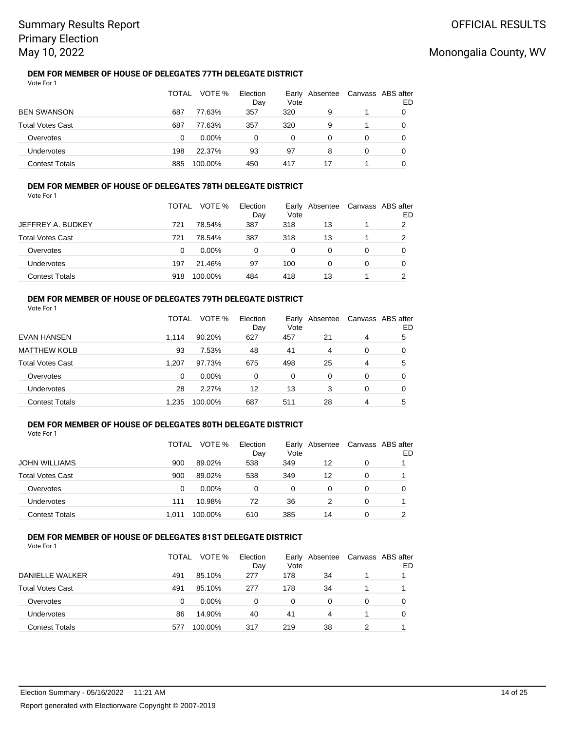### **DEM FOR MEMBER OF HOUSE OF DELEGATES 77TH DELEGATE DISTRICT** Vote For 1

|                         | TOTAL | VOTE %   | Election<br>Day | Early<br>Vote | Absentee | Canvass ABS after | ED |
|-------------------------|-------|----------|-----------------|---------------|----------|-------------------|----|
| <b>BEN SWANSON</b>      | 687   | 77.63%   | 357             | 320           | 9        |                   |    |
| <b>Total Votes Cast</b> | 687   | 77.63%   | 357             | 320           | 9        |                   | O  |
| Overvotes               | 0     | $0.00\%$ | 0               | 0             | 0        | 0                 |    |
| Undervotes              | 198   | 22.37%   | 93              | 97            | 8        | 0                 |    |
| <b>Contest Totals</b>   | 885   | 100.00%  | 450             | 417           | 17       |                   |    |

## **DEM FOR MEMBER OF HOUSE OF DELEGATES 78TH DELEGATE DISTRICT**

Vote For 1

|                         | <b>TOTAL</b> | VOTE %   | Election<br>Day | Vote | Early Absentee | Canvass ABS after | ED |
|-------------------------|--------------|----------|-----------------|------|----------------|-------------------|----|
| JEFFREY A. BUDKEY       | 721          | 78.54%   | 387             | 318  | 13             |                   | 2  |
| <b>Total Votes Cast</b> | 721          | 78.54%   | 387             | 318  | 13             |                   |    |
| Overvotes               | 0            | $0.00\%$ | 0               | 0    |                | 0                 |    |
| <b>Undervotes</b>       | 197          | 21.46%   | 97              | 100  | 0              | 0                 |    |
| <b>Contest Totals</b>   | 918          | 100.00%  | 484             | 418  | 13             |                   |    |

## **DEM FOR MEMBER OF HOUSE OF DELEGATES 79TH DELEGATE DISTRICT**

Vote For 1

|                         | TOTAL    | VOTE %   | Election<br>Day | Early<br>Vote | Absentee |          | Canvass ABS after<br>ED |
|-------------------------|----------|----------|-----------------|---------------|----------|----------|-------------------------|
| <b>EVAN HANSEN</b>      | 1.114    | 90.20%   | 627             | 457           | 21       | 4        | 5                       |
| <b>MATTHEW KOLB</b>     | 93       | 7.53%    | 48              | 41            | 4        | $\Omega$ | 0                       |
| <b>Total Votes Cast</b> | 1.207    | 97.73%   | 675             | 498           | 25       | 4        | 5                       |
| Overvotes               | $\Omega$ | $0.00\%$ | 0               | 0             | $\Omega$ | $\Omega$ | 0                       |
| <b>Undervotes</b>       | 28       | 2.27%    | 12              | 13            | 3        | $\Omega$ | 0                       |
| <b>Contest Totals</b>   | 1,235    | 100.00%  | 687             | 511           | 28       | 4        | 5                       |

## **DEM FOR MEMBER OF HOUSE OF DELEGATES 80TH DELEGATE DISTRICT**

Vote For 1

|                         | <b>TOTAL</b> | VOTE %   | Election<br>Day | Vote | Early Absentee |   | Canvass ABS after<br>ED |
|-------------------------|--------------|----------|-----------------|------|----------------|---|-------------------------|
| <b>JOHN WILLIAMS</b>    | 900          | 89.02%   | 538             | 349  | 12             |   |                         |
| <b>Total Votes Cast</b> | 900          | 89.02%   | 538             | 349  | 12             |   |                         |
| Overvotes               | 0            | $0.00\%$ | 0               | 0    |                |   |                         |
| Undervotes              | 111          | 10.98%   | 72              | 36   |                | 0 |                         |
| <b>Contest Totals</b>   | 1.011        | 100.00%  | 610             | 385  | 14             |   |                         |

### **DEM FOR MEMBER OF HOUSE OF DELEGATES 81ST DELEGATE DISTRICT** Vote For 1

|                         | TOTAL | VOTE %   | Election<br>Day | Vote | Early Absentee |   | Canvass ABS after<br>ED |
|-------------------------|-------|----------|-----------------|------|----------------|---|-------------------------|
| DANIELLE WALKER         | 491   | 85.10%   | 277             | 178  | 34             |   |                         |
| <b>Total Votes Cast</b> | 491   | 85.10%   | 277             | 178  | 34             |   |                         |
| Overvotes               | 0     | $0.00\%$ | 0               | 0    |                | 0 |                         |
| Undervotes              | 86    | 14.90%   | 40              | 41   | 4              |   |                         |
| <b>Contest Totals</b>   | 577   | 100.00%  | 317             | 219  | 38             |   |                         |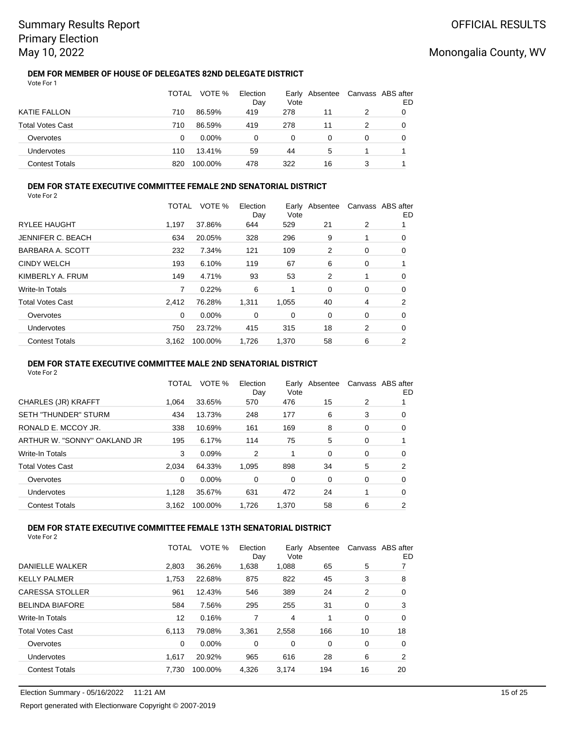**DEM FOR MEMBER OF HOUSE OF DELEGATES 82ND DELEGATE DISTRICT** Vote For 1

|                         | TOTAL | VOTE %   | Election<br>Day | Vote | Early Absentee | Canvass ABS after | ED |
|-------------------------|-------|----------|-----------------|------|----------------|-------------------|----|
| <b>KATIE FALLON</b>     | 710   | 86.59%   | 419             | 278  | 11             | 2                 |    |
| <b>Total Votes Cast</b> | 710   | 86.59%   | 419             | 278  | 11             |                   | O  |
| Overvotes               | 0     | $0.00\%$ | 0               | 0    | 0              | 0                 |    |
| <b>Undervotes</b>       | 110   | 13.41%   | 59              | 44   | 5              |                   |    |
| <b>Contest Totals</b>   | 820   | 100.00%  | 478             | 322  | 16             |                   |    |

#### **DEM FOR STATE EXECUTIVE COMMITTEE FEMALE 2ND SENATORIAL DISTRICT** Vote For 2

|                         | TOTAL | VOTE %  | Election<br>Day | Vote  | Early Absentee |   | Canvass ABS after<br>ED |
|-------------------------|-------|---------|-----------------|-------|----------------|---|-------------------------|
| <b>RYLEE HAUGHT</b>     | 1.197 | 37.86%  | 644             | 529   | 21             | 2 |                         |
| JENNIFER C. BEACH       | 634   | 20.05%  | 328             | 296   | 9              |   | 0                       |
| BARBARA A. SCOTT        | 232   | 7.34%   | 121             | 109   | 2              | 0 | 0                       |
| <b>CINDY WELCH</b>      | 193   | 6.10%   | 119             | 67    | 6              | 0 |                         |
| KIMBERLY A. FRUM        | 149   | 4.71%   | 93              | 53    | 2              |   | 0                       |
| <b>Write-In Totals</b>  |       | 0.22%   | 6               |       | $\Omega$       | 0 | 0                       |
| <b>Total Votes Cast</b> | 2.412 | 76.28%  | 1,311           | 1,055 | 40             | 4 | 2                       |
| Overvotes               | 0     | 0.00%   | 0               | 0     | 0              | 0 | 0                       |
| Undervotes              | 750   | 23.72%  | 415             | 315   | 18             | 2 | 0                       |
| <b>Contest Totals</b>   | 3.162 | 100.00% | 1.726           | 1.370 | 58             | 6 | 2                       |

### **DEM FOR STATE EXECUTIVE COMMITTEE MALE 2ND SENATORIAL DISTRICT**

Vote For 2

|                              | TOTAL    | VOTE %   | Election<br>Day | Early<br>Vote | Absentee |   | Canvass ABS after<br>ED |
|------------------------------|----------|----------|-----------------|---------------|----------|---|-------------------------|
| CHARLES (JR) KRAFFT          | 1.064    | 33.65%   | 570             | 476           | 15       | 2 |                         |
| <b>SETH "THUNDER" STURM</b>  | 434      | 13.73%   | 248             | 177           | 6        | 3 | 0                       |
| RONALD E. MCCOY JR.          | 338      | 10.69%   | 161             | 169           | 8        | 0 | 0                       |
| ARTHUR W. "SONNY" OAKLAND JR | 195      | 6.17%    | 114             | 75            | 5        | 0 |                         |
| Write-In Totals              | 3        | 0.09%    | 2               | 1             | 0        | 0 | 0                       |
| <b>Total Votes Cast</b>      | 2.034    | 64.33%   | 1,095           | 898           | 34       | 5 | 2                       |
| Overvotes                    | $\Omega$ | $0.00\%$ | 0               | 0             | 0        | 0 | 0                       |
| Undervotes                   | 1.128    | 35.67%   | 631             | 472           | 24       |   | 0                       |
| <b>Contest Totals</b>        | 3.162    | 100.00%  | 1.726           | 1.370         | 58       | 6 | 2                       |

## **DEM FOR STATE EXECUTIVE COMMITTEE FEMALE 13TH SENATORIAL DISTRICT**

|                         | TOTAL | VOTE %  | Election<br>Day | Early<br>Vote | Absentee |    | Canvass ABS after<br>ED. |
|-------------------------|-------|---------|-----------------|---------------|----------|----|--------------------------|
| <b>DANIELLE WALKER</b>  | 2.803 | 36.26%  | 1,638           | 1,088         | 65       | 5  |                          |
| <b>KELLY PALMER</b>     | 1.753 | 22.68%  | 875             | 822           | 45       | 3  | 8                        |
| <b>CARESSA STOLLER</b>  | 961   | 12.43%  | 546             | 389           | 24       | 2  | 0                        |
| <b>BELINDA BIAFORE</b>  | 584   | 7.56%   | 295             | 255           | 31       | 0  | 3                        |
| <b>Write-In Totals</b>  | 12    | 0.16%   | 7               | 4             |          | 0  | 0                        |
| <b>Total Votes Cast</b> | 6.113 | 79.08%  | 3.361           | 2.558         | 166      | 10 | 18                       |
| Overvotes               | 0     | 0.00%   | 0               | 0             | 0        | 0  | 0                        |
| Undervotes              | 1.617 | 20.92%  | 965             | 616           | 28       | 6  | 2                        |
| <b>Contest Totals</b>   | 7.730 | 100.00% | 4.326           | 3.174         | 194      | 16 | 20                       |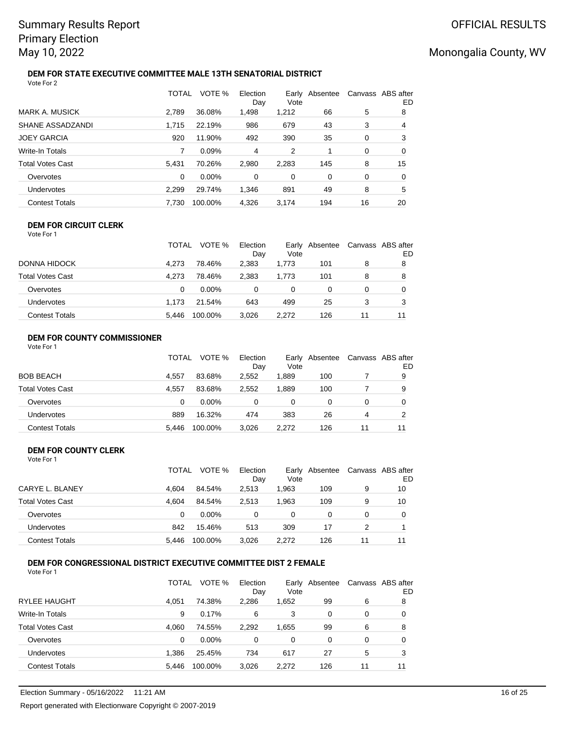### **DEM FOR STATE EXECUTIVE COMMITTEE MALE 13TH SENATORIAL DISTRICT** Vote For 2

|                         | TOTAL | VOTE %   | Election<br>Dav | Early<br>Vote | Absentee |    | Canvass ABS after<br>ED |
|-------------------------|-------|----------|-----------------|---------------|----------|----|-------------------------|
| <b>MARK A. MUSICK</b>   | 2.789 | 36.08%   | 1,498           | 1,212         | 66       | 5  | 8                       |
| SHANE ASSADZANDI        | 1.715 | 22.19%   | 986             | 679           | 43       | 3  | 4                       |
| <b>JOEY GARCIA</b>      | 920   | 11.90%   | 492             | 390           | 35       | 0  | 3                       |
| <b>Write-In Totals</b>  |       | 0.09%    | 4               | 2             |          | 0  | 0                       |
| <b>Total Votes Cast</b> | 5.431 | 70.26%   | 2,980           | 2.283         | 145      | 8  | 15                      |
| Overvotes               | 0     | $0.00\%$ | 0               | 0             | 0        | 0  | 0                       |
| Undervotes              | 2,299 | 29.74%   | 1,346           | 891           | 49       | 8  | 5                       |
| <b>Contest Totals</b>   | 7.730 | 100.00%  | 4,326           | 3.174         | 194      | 16 | 20                      |

## **DEM FOR CIRCUIT CLERK**

Vote For 1

|                         | TOTAL | VOTE %   | Election<br>Dav | Vote     | Early Absentee |    | Canvass ABS after<br>ED |
|-------------------------|-------|----------|-----------------|----------|----------------|----|-------------------------|
| <b>DONNA HIDOCK</b>     | 4.273 | 78.46%   | 2.383           | 1.773    | 101            | 8  | 8                       |
| <b>Total Votes Cast</b> | 4.273 | 78.46%   | 2.383           | 1.773    | 101            | 8  | 8                       |
| Overvotes               | 0     | $0.00\%$ | 0               | $\Omega$ |                |    |                         |
| <b>Undervotes</b>       | 1.173 | 21.54%   | 643             | 499      | 25             |    |                         |
| <b>Contest Totals</b>   | 5.446 | 100.00%  | 3.026           | 2.272    | 126            | 11 | 11                      |

## **DEM FOR COUNTY COMMISSIONER**

| Vote For 1 |  |
|------------|--|
|------------|--|

|                       | <b>TOTAL</b> | VOTE %   | Election<br>Day | Vote  | Early Absentee |    | Canvass ABS after<br>ED |
|-----------------------|--------------|----------|-----------------|-------|----------------|----|-------------------------|
| BOB BEACH             | 4.557        | 83.68%   | 2.552           | 1.889 | 100            |    | 9                       |
| Total Votes Cast      | 4.557        | 83.68%   | 2.552           | 1.889 | 100            |    | 9                       |
| Overvotes             |              | $0.00\%$ | 0               | 0     |                |    |                         |
| Undervotes            | 889          | 16.32%   | 474             | 383   | 26             | 4  |                         |
| <b>Contest Totals</b> | 5.446        | 100.00%  | 3.026           | 2.272 | 126            | 11 | 11                      |

## **DEM FOR COUNTY CLERK**

Vote For 1

|                       | <b>TOTAL</b> | VOTE %   | Election<br>Day | Vote  | Early Absentee |    | Canvass ABS after<br>ED |
|-----------------------|--------------|----------|-----------------|-------|----------------|----|-------------------------|
| CARYE L. BLANEY       | 4.604        | 84.54%   | 2.513           | 1.963 | 109            | 9  | 10                      |
| Total Votes Cast      | 4.604        | 84.54%   | 2.513           | 1.963 | 109            | 9  | 10                      |
| Overvotes             | 0            | $0.00\%$ |                 | 0     |                | 0  |                         |
| <b>Undervotes</b>     | 842          | 15.46%   | 513             | 309   | 17             |    |                         |
| <b>Contest Totals</b> | 5.446        | 100.00%  | 3,026           | 2.272 | 126            | 11 | 11                      |

## **DEM FOR CONGRESSIONAL DISTRICT EXECUTIVE COMMITTEE DIST 2 FEMALE**

|                         | TOTAL | VOTE %   | Election<br>Day | Earlv<br>Vote | Absentee |    | Canvass ABS after<br>ED |
|-------------------------|-------|----------|-----------------|---------------|----------|----|-------------------------|
| <b>RYLEE HAUGHT</b>     | 4.051 | 74.38%   | 2,286           | 1,652         | 99       | 6  | 8                       |
| Write-In Totals         | 9     | 0.17%    | 6               | 3             | 0        | 0  | 0                       |
| <b>Total Votes Cast</b> | 4.060 | 74.55%   | 2,292           | 1,655         | 99       | 6  | 8                       |
| Overvotes               | 0     | $0.00\%$ | 0               | 0             | 0        | 0  | 0                       |
| Undervotes              | 1.386 | 25.45%   | 734             | 617           | 27       | 5  | 3                       |
| <b>Contest Totals</b>   | 5.446 | 100.00%  | 3,026           | 2.272         | 126      | 11 | 11                      |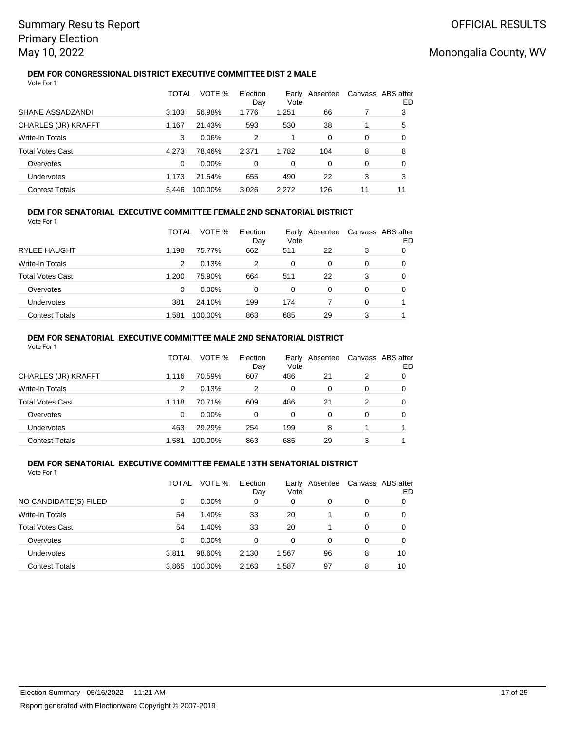### **DEM FOR CONGRESSIONAL DISTRICT EXECUTIVE COMMITTEE DIST 2 MALE** Vote For 1

|                         | TOTAL | VOTE %  | Election<br>Day | Earlv<br>Vote | Absentee |    | Canvass ABS after<br>ED |
|-------------------------|-------|---------|-----------------|---------------|----------|----|-------------------------|
| SHANE ASSADZANDI        | 3.103 | 56.98%  | 1,776           | 1,251         | 66       |    | 3                       |
| CHARLES (JR) KRAFFT     | 1.167 | 21.43%  | 593             | 530           | 38       |    | 5                       |
| Write-In Totals         | 3     | 0.06%   | 2               | 1             | 0        | 0  | 0                       |
| <b>Total Votes Cast</b> | 4.273 | 78.46%  | 2.371           | 1.782         | 104      | 8  | 8                       |
| Overvotes               | 0     | 0.00%   | 0               | 0             | 0        | 0  | 0                       |
| Undervotes              | 1.173 | 21.54%  | 655             | 490           | 22       | 3  | 3                       |
| <b>Contest Totals</b>   | 5.446 | 100.00% | 3.026           | 2.272         | 126      | 11 | 11                      |

#### **DEM FOR SENATORIAL EXECUTIVE COMMITTEE FEMALE 2ND SENATORIAL DISTRICT** Vote For 1

|                         | TOTAL | VOTE %   | Election<br>Day | Vote     | Early Absentee |   | Canvass ABS after<br>ED |
|-------------------------|-------|----------|-----------------|----------|----------------|---|-------------------------|
| <b>RYLEE HAUGHT</b>     | 1.198 | 75.77%   | 662             | 511      | 22             | 3 |                         |
| Write-In Totals         | 2     | 0.13%    | 2               | $\Omega$ | 0              | 0 |                         |
| <b>Total Votes Cast</b> | 1.200 | 75.90%   | 664             | 511      | 22             | 3 |                         |
| Overvotes               | 0     | $0.00\%$ | 0               | 0        | 0              | 0 |                         |
| Undervotes              | 381   | 24.10%   | 199             | 174      |                | 0 |                         |
| <b>Contest Totals</b>   | 1.581 | 100.00%  | 863             | 685      | 29             | 3 |                         |

## **DEM FOR SENATORIAL EXECUTIVE COMMITTEE MALE 2ND SENATORIAL DISTRICT**

| Vote For 1              |          |          |                 |          |                |   |                         |
|-------------------------|----------|----------|-----------------|----------|----------------|---|-------------------------|
|                         | TOTAL    | VOTE %   | Election<br>Day | Vote     | Early Absentee |   | Canvass ABS after<br>ED |
| CHARLES (JR) KRAFFT     | 1.116    | 70.59%   | 607             | 486      | 21             | 2 | 0                       |
| <b>Write-In Totals</b>  | 2        | 0.13%    | 2               | $\Omega$ | 0              | 0 | 0                       |
| <b>Total Votes Cast</b> | 1.118    | 70.71%   | 609             | 486      | 21             | 2 | 0                       |
| Overvotes               | $\Omega$ | $0.00\%$ | 0               | $\Omega$ | 0              | 0 | 0                       |
| <b>Undervotes</b>       | 463      | 29.29%   | 254             | 199      | 8              |   |                         |
| <b>Contest Totals</b>   | 1.581    | 100.00%  | 863             | 685      | 29             | 3 |                         |

### **DEM FOR SENATORIAL EXECUTIVE COMMITTEE FEMALE 13TH SENATORIAL DISTRICT** Vote For 1

|                         | TOTAL | VOTE %  | Election<br>Day | Earlv<br>Vote | Absentee |   | Canvass ABS after<br>ED |
|-------------------------|-------|---------|-----------------|---------------|----------|---|-------------------------|
| NO CANDIDATE(S) FILED   | 0     | 0.00%   | 0               | 0             | 0        | 0 | 0                       |
| Write-In Totals         | 54    | 1.40%   | 33              | 20            |          | 0 | 0                       |
| <b>Total Votes Cast</b> | 54    | 1.40%   | 33              | 20            |          | 0 | 0                       |
| Overvotes               | 0     | 0.00%   | 0               | 0             | 0        | 0 | 0                       |
| Undervotes              | 3.811 | 98.60%  | 2,130           | 1,567         | 96       | 8 | 10                      |
| <b>Contest Totals</b>   | 3,865 | 100.00% | 2,163           | 1,587         | 97       | 8 | 10                      |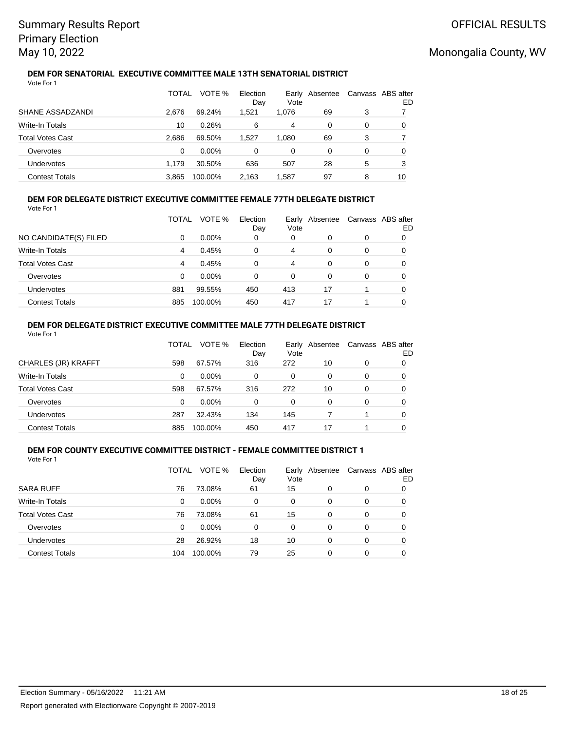### **DEM FOR SENATORIAL EXECUTIVE COMMITTEE MALE 13TH SENATORIAL DISTRICT** Vote For 1

|                         | <b>TOTAL</b> | VOTE %   | Election<br>Day | Vote  | Early Absentee |   | Canvass ABS after<br>ED |
|-------------------------|--------------|----------|-----------------|-------|----------------|---|-------------------------|
| SHANE ASSADZANDI        | 2.676        | 69.24%   | 1,521           | 1,076 | 69             | 3 |                         |
| <b>Write-In Totals</b>  | 10           | 0.26%    | 6               | 4     | 0              | 0 | 0                       |
| <b>Total Votes Cast</b> | 2.686        | 69.50%   | 1.527           | 1.080 | 69             | 3 |                         |
| Overvotes               | 0            | $0.00\%$ | 0               | 0     | 0              | 0 | 0                       |
| Undervotes              | 1.179        | 30.50%   | 636             | 507   | 28             | 5 | 3                       |
| <b>Contest Totals</b>   | 3.865        | 100.00%  | 2.163           | 1.587 | 97             | 8 | 10                      |

### **DEM FOR DELEGATE DISTRICT EXECUTIVE COMMITTEE FEMALE 77TH DELEGATE DISTRICT** Vote For 1

|                         | TOTAL | VOTE %   | Election<br>Day | Early<br>Vote | Absentee |   | Canvass ABS after<br>ED |
|-------------------------|-------|----------|-----------------|---------------|----------|---|-------------------------|
| NO CANDIDATE(S) FILED   | 0     | $0.00\%$ | 0               | 0             | 0        | 0 | 0                       |
| <b>Write-In Totals</b>  | 4     | 0.45%    | 0               | 4             | 0        | 0 | 0                       |
| <b>Total Votes Cast</b> | 4     | 0.45%    | 0               | 4             | 0        | 0 | 0                       |
| Overvotes               | 0     | $0.00\%$ | 0               | 0             | 0        | 0 | 0                       |
| Undervotes              | 881   | 99.55%   | 450             | 413           | 17       |   | 0                       |
| <b>Contest Totals</b>   | 885   | 100.00%  | 450             | 417           | 17       |   |                         |

### **DEM FOR DELEGATE DISTRICT EXECUTIVE COMMITTEE MALE 77TH DELEGATE DISTRICT** Vote For 1

|                         | TOTAL | VOTE %   | Election<br>Day | Vote | Early Absentee |   | Canvass ABS after<br>ED |
|-------------------------|-------|----------|-----------------|------|----------------|---|-------------------------|
| CHARLES (JR) KRAFFT     | 598   | 67.57%   | 316             | 272  | 10             | 0 | O                       |
| Write-In Totals         | 0     | $0.00\%$ | 0               | 0    | 0              | 0 | O                       |
| <b>Total Votes Cast</b> | 598   | 67.57%   | 316             | 272  | 10             | 0 | O                       |
| Overvotes               | 0     | $0.00\%$ | 0               | 0    | 0              | 0 | O                       |
| Undervotes              | 287   | 32.43%   | 134             | 145  |                |   | 0                       |
| <b>Contest Totals</b>   | 885   | 100.00%  | 450             | 417  | 17             |   |                         |

#### **DEM FOR COUNTY EXECUTIVE COMMITTEE DISTRICT - FEMALE COMMITTEE DISTRICT 1** Vote For 1

|                         | TOTAL | VOTE %   | Election<br>Day | Vote | Early Absentee | Canvass ABS after | ED |
|-------------------------|-------|----------|-----------------|------|----------------|-------------------|----|
| <b>SARA RUFF</b>        | 76    | 73.08%   | 61              | 15   | 0              | 0                 |    |
| <b>Write-In Totals</b>  | 0     | $0.00\%$ | 0               | 0    | 0              | 0                 |    |
| <b>Total Votes Cast</b> | 76    | 73.08%   | 61              | 15   | 0              | 0                 |    |
| Overvotes               | 0     | 0.00%    | $\Omega$        | 0    | 0              | 0                 | 0  |
| Undervotes              | 28    | 26.92%   | 18              | 10   | 0              | 0                 | 0  |
| <b>Contest Totals</b>   | 104   | 100.00%  | 79              | 25   | 0              | 0                 |    |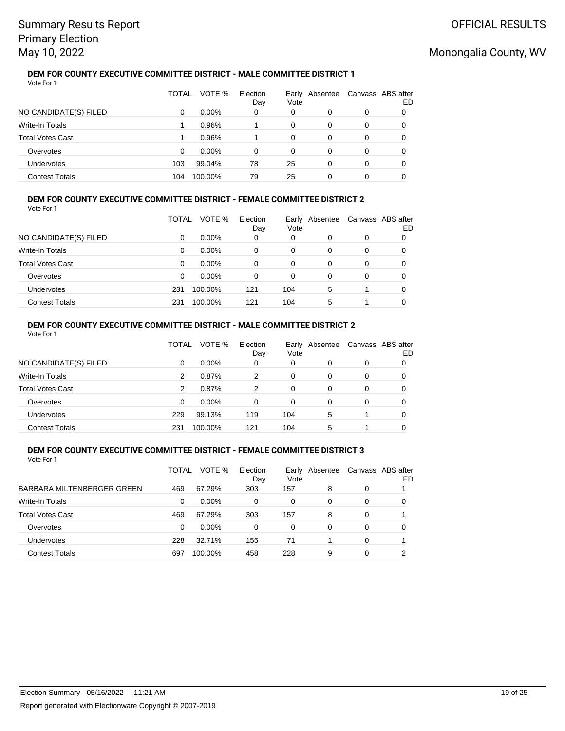### **DEM FOR COUNTY EXECUTIVE COMMITTEE DISTRICT - MALE COMMITTEE DISTRICT 1** Vote For 1

|                         | TOTAL | VOTE %   | Election<br>Day | Vote | Early Absentee | Canvass ABS after | ED |
|-------------------------|-------|----------|-----------------|------|----------------|-------------------|----|
| NO CANDIDATE(S) FILED   | 0     | $0.00\%$ | 0               | 0    |                | 0                 |    |
| Write-In Totals         |       | 0.96%    |                 | 0    | 0              | 0                 |    |
| <b>Total Votes Cast</b> |       | 0.96%    |                 | 0    | 0              | 0                 |    |
| Overvotes               | 0     | $0.00\%$ | 0               | 0    | 0              | 0                 |    |
| Undervotes              | 103   | 99.04%   | 78              | 25   | $\Omega$       | 0                 |    |
| <b>Contest Totals</b>   | 104   | 100.00%  | 79              | 25   |                |                   |    |

### **DEM FOR COUNTY EXECUTIVE COMMITTEE DISTRICT - FEMALE COMMITTEE DISTRICT 2** Vote For 1

|                         | TOTAL | VOTE %   | Election<br>Day | Early<br>Vote | Absentee |   | Canvass ABS after<br>ED |
|-------------------------|-------|----------|-----------------|---------------|----------|---|-------------------------|
| NO CANDIDATE(S) FILED   | 0     | $0.00\%$ | 0               | 0             | 0        | 0 |                         |
| Write-In Totals         | 0     | $0.00\%$ | 0               | 0             | 0        | 0 | O                       |
| <b>Total Votes Cast</b> | 0     | $0.00\%$ | $\Omega$        | 0             | 0        | 0 | O                       |
| Overvotes               | 0     | $0.00\%$ | 0               | 0             | 0        | 0 | O                       |
| <b>Undervotes</b>       | 231   | 100.00%  | 121             | 104           | 5        |   | 0                       |
| <b>Contest Totals</b>   | 231   | 100.00%  | 121             | 104           | 5        |   |                         |

### **DEM FOR COUNTY EXECUTIVE COMMITTEE DISTRICT - MALE COMMITTEE DISTRICT 2** Vote For 1

|                         | TOTAL    | VOTE %   | Election<br>Day | Vote | Early Absentee |   | Canvass ABS after<br>ED |
|-------------------------|----------|----------|-----------------|------|----------------|---|-------------------------|
| NO CANDIDATE(S) FILED   | 0        | $0.00\%$ | 0               | 0    | 0              | 0 |                         |
| Write-In Totals         | 2        | 0.87%    | 2               | 0    | 0              | 0 |                         |
| <b>Total Votes Cast</b> | 2        | 0.87%    | 2               | 0    | $\Omega$       | 0 | 0                       |
| Overvotes               | $\Omega$ | $0.00\%$ | 0               | 0    | 0              | 0 | 0                       |
| Undervotes              | 229      | 99.13%   | 119             | 104  | 5              |   | 0                       |
| <b>Contest Totals</b>   | 231      | 100.00%  | 121             | 104  | 5              |   |                         |

#### **DEM FOR COUNTY EXECUTIVE COMMITTEE DISTRICT - FEMALE COMMITTEE DISTRICT 3** Vote For 1

|                            | TOTAL | VOTE %   | Election<br>Day | Early<br>Vote | Absentee |          | Canvass ABS after<br>ED |
|----------------------------|-------|----------|-----------------|---------------|----------|----------|-------------------------|
| BARBARA MILTENBERGER GREEN | 469   | 67.29%   | 303             | 157           | 8        | 0        |                         |
| Write-In Totals            | 0     | $0.00\%$ | 0               | 0             | 0        | 0        | O                       |
| <b>Total Votes Cast</b>    | 469   | 67.29%   | 303             | 157           | 8        | 0        |                         |
| Overvotes                  | 0     | 0.00%    | 0               | 0             | 0        | 0        | 0                       |
| Undervotes                 | 228   | 32.71%   | 155             | 71            |          | 0        |                         |
| <b>Contest Totals</b>      | 697   | 100.00%  | 458             | 228           | 9        | $\Omega$ | ົ                       |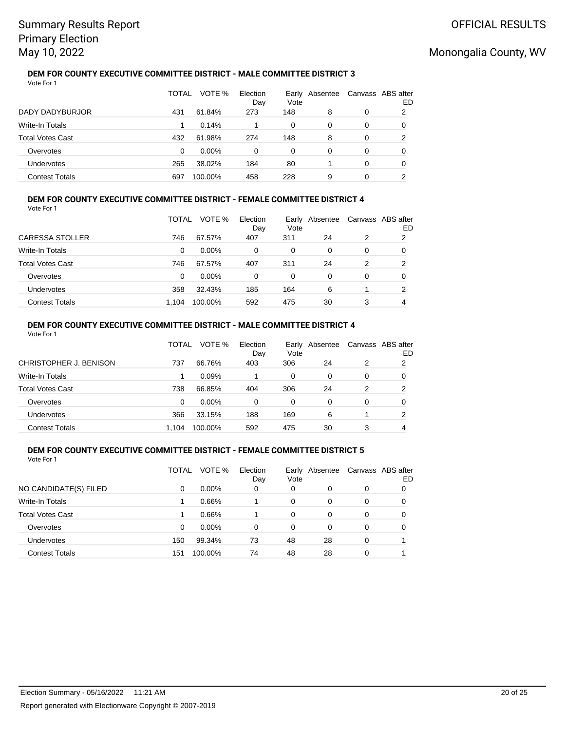### **DEM FOR COUNTY EXECUTIVE COMMITTEE DISTRICT - MALE COMMITTEE DISTRICT 3** Vote For 1

|                         | TOTAL | VOTE %   | Election<br>Day | Vote | Early Absentee |   | Canvass ABS after<br>ED |
|-------------------------|-------|----------|-----------------|------|----------------|---|-------------------------|
| DADY DADYBURJOR         | 431   | 61.84%   | 273             | 148  | 8              | 0 | 2                       |
| Write-In Totals         |       | 0.14%    |                 | 0    | 0              | 0 | 0                       |
| <b>Total Votes Cast</b> | 432   | 61.98%   | 274             | 148  | 8              | 0 | 2                       |
| Overvotes               | 0     | $0.00\%$ | 0               | 0    | 0              | 0 |                         |
| Undervotes              | 265   | 38.02%   | 184             | 80   |                | 0 | 0                       |
| <b>Contest Totals</b>   | 697   | 100.00%  | 458             | 228  | 9              | 0 |                         |

### **DEM FOR COUNTY EXECUTIVE COMMITTEE DISTRICT - FEMALE COMMITTEE DISTRICT 4** Vote For 1

|                         | TOTAL | VOTE %   | Election<br>Day | Early<br>Vote | Absentee |   | Canvass ABS after<br>ED |
|-------------------------|-------|----------|-----------------|---------------|----------|---|-------------------------|
| CARESSA STOLLER         | 746   | 67.57%   | 407             | 311           | 24       | 2 | 2                       |
| Write-In Totals         | 0     | $0.00\%$ | $\Omega$        | 0             | $\Omega$ | 0 | 0                       |
| <b>Total Votes Cast</b> | 746   | 67.57%   | 407             | 311           | 24       | 2 | 2                       |
| Overvotes               | 0     | $0.00\%$ | 0               | 0             | 0        | 0 | O                       |
| Undervotes              | 358   | 32.43%   | 185             | 164           | 6        |   | 2                       |
| <b>Contest Totals</b>   | 1.104 | 100.00%  | 592             | 475           | 30       | 3 | 4                       |

### **DEM FOR COUNTY EXECUTIVE COMMITTEE DISTRICT - MALE COMMITTEE DISTRICT 4** Vote For 1

|                         | TOTAL | VOTE %   | Election<br>Day | Earlv<br>Vote | Absentee |   | Canvass ABS after<br>ED |
|-------------------------|-------|----------|-----------------|---------------|----------|---|-------------------------|
| CHRISTOPHER J. BENISON  | 737   | 66.76%   | 403             | 306           | 24       | 2 | 2                       |
| <b>Write-In Totals</b>  |       | 0.09%    |                 | $\Omega$      | 0        | 0 |                         |
| <b>Total Votes Cast</b> | 738   | 66.85%   | 404             | 306           | 24       | 2 | 2                       |
| Overvotes               | 0     | $0.00\%$ | 0               | 0             | 0        | 0 | 0                       |
| Undervotes              | 366   | 33.15%   | 188             | 169           | 6        |   | າ                       |
| <b>Contest Totals</b>   | 1.104 | 100.00%  | 592             | 475           | 30       | 3 |                         |

#### **DEM FOR COUNTY EXECUTIVE COMMITTEE DISTRICT - FEMALE COMMITTEE DISTRICT 5** Vote For 1

|                         | TOTAL | VOTE %   | Election<br>Day | Vote | Early Absentee |   | Canvass ABS after<br>ED |
|-------------------------|-------|----------|-----------------|------|----------------|---|-------------------------|
| NO CANDIDATE(S) FILED   | 0     | $0.00\%$ | 0               | 0    | 0              | 0 |                         |
| <b>Write-In Totals</b>  |       | 0.66%    |                 | 0    | 0              | 0 |                         |
| <b>Total Votes Cast</b> |       | 0.66%    |                 | 0    | 0              | 0 |                         |
| Overvotes               | 0     | 0.00%    | 0               | 0    | 0              | 0 |                         |
| <b>Undervotes</b>       | 150   | 99.34%   | 73              | 48   | 28             | 0 |                         |
| <b>Contest Totals</b>   | 151   | 100.00%  | 74              | 48   | 28             | 0 |                         |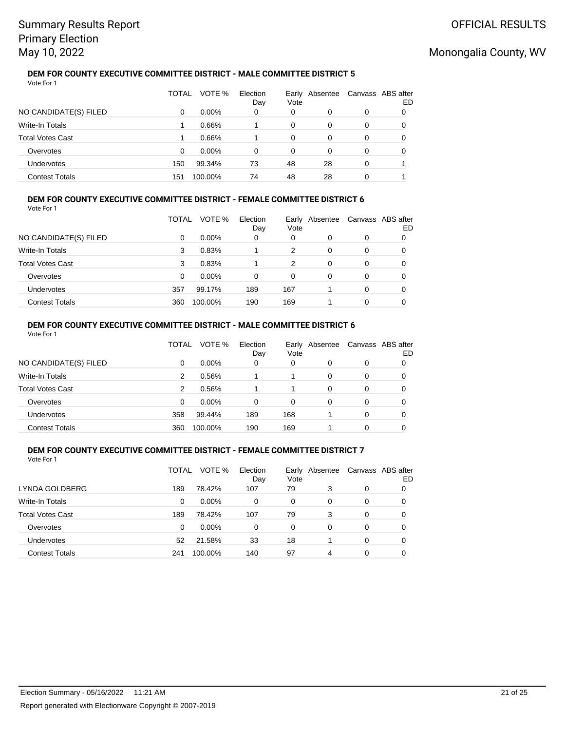### **DEM FOR COUNTY EXECUTIVE COMMITTEE DISTRICT - MALE COMMITTEE DISTRICT 5** Vote For 1

|                         | TOTAL | VOTE %   | Election<br>Day | Vote | Early Absentee |   | Canvass ABS after<br>ED |
|-------------------------|-------|----------|-----------------|------|----------------|---|-------------------------|
| NO CANDIDATE(S) FILED   | 0     | $0.00\%$ | 0               | 0    | 0              | 0 |                         |
| Write-In Totals         |       | 0.66%    |                 | 0    | 0              | 0 |                         |
| <b>Total Votes Cast</b> |       | 0.66%    |                 | 0    | 0              | 0 |                         |
| Overvotes               | 0     | $0.00\%$ | 0               | 0    | 0              | 0 |                         |
| Undervotes              | 150   | 99.34%   | 73              | 48   | 28             | 0 |                         |
| <b>Contest Totals</b>   | 151   | 100.00%  | 74              | 48   | 28             |   |                         |

### **DEM FOR COUNTY EXECUTIVE COMMITTEE DISTRICT - FEMALE COMMITTEE DISTRICT 6** Vote For 1

|                         | TOTAL | VOTE %   | Election<br>Day | Vote | Early Absentee | Canvass ABS after | ED |
|-------------------------|-------|----------|-----------------|------|----------------|-------------------|----|
| NO CANDIDATE(S) FILED   | 0     | $0.00\%$ | 0               | 0    | 0              | 0                 | 0  |
| <b>Write-In Totals</b>  | 3     | 0.83%    |                 | 2    | 0              | 0                 | 0  |
| <b>Total Votes Cast</b> | 3     | 0.83%    |                 | 2    | 0              | 0                 | 0  |
| Overvotes               | 0     | $0.00\%$ | 0               | 0    | 0              | 0                 | 0  |
| Undervotes              | 357   | 99.17%   | 189             | 167  |                | 0                 | 0  |
| <b>Contest Totals</b>   | 360   | 100.00%  | 190             | 169  |                | 0                 |    |

### **DEM FOR COUNTY EXECUTIVE COMMITTEE DISTRICT - MALE COMMITTEE DISTRICT 6** Vote For 1

|                         | TOTAL | VOTE %   | Election<br>Day | Early<br>Vote | Absentee |   | Canvass ABS after<br>ED |
|-------------------------|-------|----------|-----------------|---------------|----------|---|-------------------------|
| NO CANDIDATE(S) FILED   | 0     | $0.00\%$ | 0               | 0             | 0        | 0 |                         |
| Write-In Totals         | 2     | 0.56%    |                 |               | 0        | 0 |                         |
| <b>Total Votes Cast</b> | 2     | 0.56%    |                 |               | 0        | 0 |                         |
| Overvotes               | 0     | $0.00\%$ | 0               | 0             | 0        | 0 | O                       |
| Undervotes              | 358   | 99.44%   | 189             | 168           |          | 0 | O                       |
| <b>Contest Totals</b>   | 360   | 100.00%  | 190             | 169           |          | 0 |                         |

#### **DEM FOR COUNTY EXECUTIVE COMMITTEE DISTRICT - FEMALE COMMITTEE DISTRICT 7** Vote For 1

|                         | TOTAL | VOTE %   | Election<br>Day | Vote | Early Absentee |   | Canvass ABS after<br>ED |
|-------------------------|-------|----------|-----------------|------|----------------|---|-------------------------|
| LYNDA GOLDBERG          | 189   | 78.42%   | 107             | 79   | 3              | 0 |                         |
| <b>Write-In Totals</b>  | 0     | $0.00\%$ | $\Omega$        | 0    | 0              | 0 |                         |
| <b>Total Votes Cast</b> | 189   | 78.42%   | 107             | 79   | 3              | 0 |                         |
| Overvotes               | 0     | $0.00\%$ | $\Omega$        | 0    | 0              | 0 | 0                       |
| Undervotes              | 52    | 21.58%   | 33              | 18   |                | 0 | 0                       |
| <b>Contest Totals</b>   | 241   | 100.00%  | 140             | 97   | 4              | 0 |                         |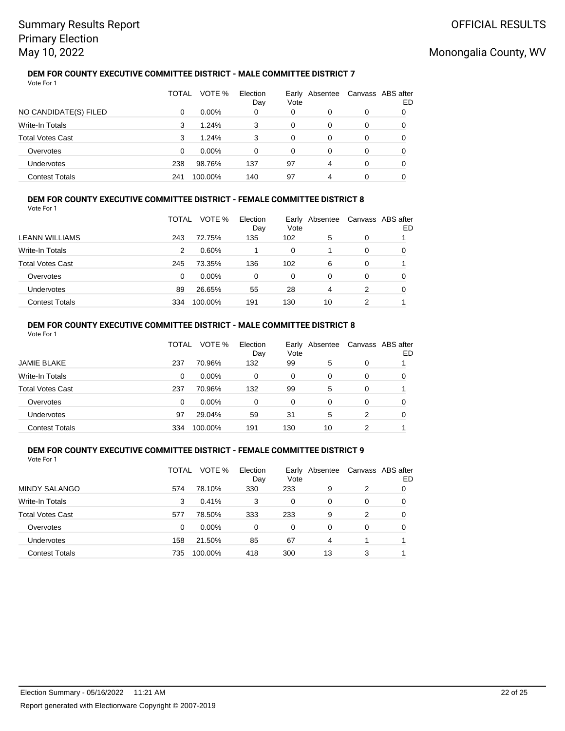### **DEM FOR COUNTY EXECUTIVE COMMITTEE DISTRICT - MALE COMMITTEE DISTRICT 7** Vote For 1

|                         | TOTAL | VOTE %   | Election<br>Day | Vote | Early Absentee | Canvass ABS after | ED |
|-------------------------|-------|----------|-----------------|------|----------------|-------------------|----|
| NO CANDIDATE(S) FILED   | 0     | $0.00\%$ | 0               | 0    | 0              | 0                 |    |
| Write-In Totals         | 3     | 1.24%    | 3               | 0    | 0              | 0                 |    |
| <b>Total Votes Cast</b> | 3     | 1.24%    | 3               | 0    | 0              | 0                 |    |
| Overvotes               | 0     | $0.00\%$ | 0               | 0    | 0              | 0                 |    |
| Undervotes              | 238   | 98.76%   | 137             | 97   | 4              | 0                 |    |
| <b>Contest Totals</b>   | 241   | 100.00%  | 140             | 97   | 4              |                   |    |

### **DEM FOR COUNTY EXECUTIVE COMMITTEE DISTRICT - FEMALE COMMITTEE DISTRICT 8** Vote For 1

|                         | TOTAL | VOTE %   | Election<br>Day | Vote | Early Absentee |   | Canvass ABS after<br>ED |
|-------------------------|-------|----------|-----------------|------|----------------|---|-------------------------|
| <b>LEANN WILLIAMS</b>   | 243   | 72.75%   | 135             | 102  | 5              | 0 |                         |
| Write-In Totals         | 2     | $0.60\%$ |                 | 0    |                | 0 |                         |
| <b>Total Votes Cast</b> | 245   | 73.35%   | 136             | 102  | 6              | 0 |                         |
| Overvotes               | 0     | $0.00\%$ | 0               | 0    | 0              | 0 |                         |
| Undervotes              | 89    | 26.65%   | 55              | 28   | 4              | 2 |                         |
| <b>Contest Totals</b>   | 334   | 100.00%  | 191             | 130  | 10             | 2 |                         |

### **DEM FOR COUNTY EXECUTIVE COMMITTEE DISTRICT - MALE COMMITTEE DISTRICT 8** Vote For 1

|                         | TOTAL | VOTE %   | Election<br>Day | Vote | Early Absentee |   | Canvass ABS after<br>ED |
|-------------------------|-------|----------|-----------------|------|----------------|---|-------------------------|
| <b>JAMIE BLAKE</b>      | 237   | 70.96%   | 132             | 99   | 5              | 0 |                         |
| Write-In Totals         | 0     | $0.00\%$ | 0               | 0    | 0              | 0 | 0                       |
| <b>Total Votes Cast</b> | 237   | 70.96%   | 132             | 99   | 5              | 0 |                         |
| Overvotes               | 0     | $0.00\%$ | 0               | 0    | 0              | 0 | 0                       |
| Undervotes              | 97    | 29.04%   | 59              | 31   | 5              | 2 | 0                       |
| <b>Contest Totals</b>   | 334   | 100.00%  | 191             | 130  | 10             | 2 |                         |

#### **DEM FOR COUNTY EXECUTIVE COMMITTEE DISTRICT - FEMALE COMMITTEE DISTRICT 9** Vote For 1

|                         | TOTAL | VOTE %  | Election<br>Day | Vote | Early Absentee | Canvass ABS after | ED |
|-------------------------|-------|---------|-----------------|------|----------------|-------------------|----|
| <b>MINDY SALANGO</b>    | 574   | 78.10%  | 330             | 233  | 9              | 2                 | O  |
| Write-In Totals         | 3     | 0.41%   | 3               | 0    | 0              | 0                 | 0  |
| <b>Total Votes Cast</b> | 577   | 78.50%  | 333             | 233  | 9              | 2                 | 0  |
| Overvotes               | 0     | 0.00%   | 0               | 0    | 0              | 0                 | 0  |
| Undervotes              | 158   | 21.50%  | 85              | 67   | 4              |                   |    |
| <b>Contest Totals</b>   | 735   | 100.00% | 418             | 300  | 13             | 3                 |    |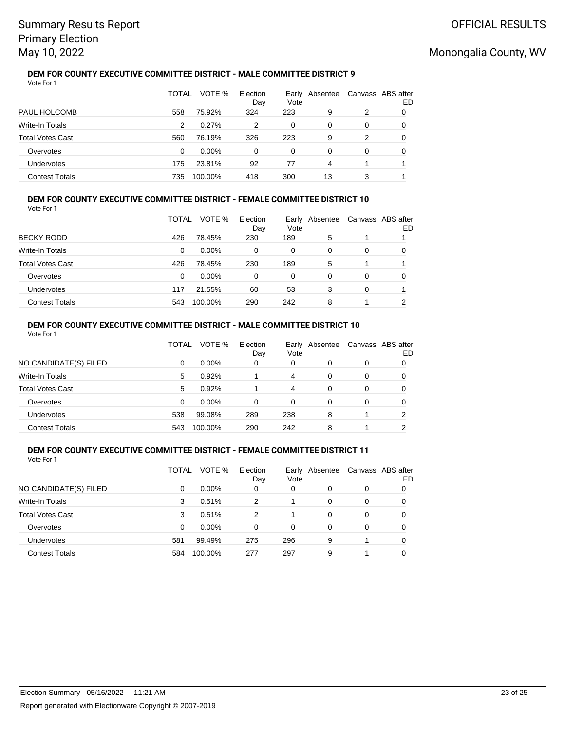### **DEM FOR COUNTY EXECUTIVE COMMITTEE DISTRICT - MALE COMMITTEE DISTRICT 9** Vote For 1

|                         | TOTAL | VOTE %   | Election<br>Day | Vote | Early Absentee |   | Canvass ABS after<br>ED |
|-------------------------|-------|----------|-----------------|------|----------------|---|-------------------------|
| PAUL HOLCOMB            | 558   | 75.92%   | 324             | 223  | 9              | 2 |                         |
| Write-In Totals         | 2     | 0.27%    | 2               | 0    | 0              | 0 |                         |
| <b>Total Votes Cast</b> | 560   | 76.19%   | 326             | 223  | 9              | 2 | 0                       |
| Overvotes               | 0     | $0.00\%$ | 0               | 0    | 0              | 0 | 0                       |
| Undervotes              | 175   | 23.81%   | 92              | 77   | 4              |   |                         |
| <b>Contest Totals</b>   | 735   | 100.00%  | 418             | 300  | 13             | 3 |                         |

### **DEM FOR COUNTY EXECUTIVE COMMITTEE DISTRICT - FEMALE COMMITTEE DISTRICT 10** Vote For 1

|                         | TOTAL | VOTE %   | Election<br>Day | Early<br>Vote | Absentee |   | Canvass ABS after<br>ED |
|-------------------------|-------|----------|-----------------|---------------|----------|---|-------------------------|
| <b>BECKY RODD</b>       | 426   | 78.45%   | 230             | 189           | 5        |   |                         |
| Write-In Totals         | 0     | $0.00\%$ | 0               | 0             | 0        | 0 | O                       |
| <b>Total Votes Cast</b> | 426   | 78.45%   | 230             | 189           | 5        |   |                         |
| Overvotes               | 0     | $0.00\%$ | 0               | 0             | $\Omega$ | 0 | 0                       |
| Undervotes              | 117   | 21.55%   | 60              | 53            | 3        | 0 |                         |
| <b>Contest Totals</b>   | 543   | 100.00%  | 290             | 242           | 8        |   | ົ                       |

### **DEM FOR COUNTY EXECUTIVE COMMITTEE DISTRICT - MALE COMMITTEE DISTRICT 10** Vote For 1

|                         | TOTAL | VOTE %   | Election<br>Day | Vote | Early Absentee | Canvass ABS after | ED |
|-------------------------|-------|----------|-----------------|------|----------------|-------------------|----|
| NO CANDIDATE(S) FILED   | 0     | $0.00\%$ | 0               | 0    | 0              | 0                 |    |
| <b>Write-In Totals</b>  | 5     | 0.92%    |                 | 4    | 0              | 0                 |    |
| <b>Total Votes Cast</b> | 5     | 0.92%    |                 | 4    | 0              | 0                 |    |
| Overvotes               | 0     | $0.00\%$ | 0               | 0    | 0              | 0                 | O  |
| Undervotes              | 538   | 99.08%   | 289             | 238  | 8              |                   | ົ  |
| <b>Contest Totals</b>   | 543   | 100.00%  | 290             | 242  | 8              |                   | ົ  |

#### **DEM FOR COUNTY EXECUTIVE COMMITTEE DISTRICT - FEMALE COMMITTEE DISTRICT 11** Vote For 1

|                         | TOTAL | VOTE %   | Election<br>Day | Vote | Early Absentee |   | Canvass ABS after<br>ED |
|-------------------------|-------|----------|-----------------|------|----------------|---|-------------------------|
| NO CANDIDATE(S) FILED   | 0     | $0.00\%$ | 0               | 0    | 0              | 0 |                         |
| <b>Write-In Totals</b>  | 3     | 0.51%    | 2               | 1    | 0              | 0 |                         |
| <b>Total Votes Cast</b> | 3     | 0.51%    | 2               | 1    | 0              | 0 |                         |
| Overvotes               | 0     | 0.00%    | 0               | 0    | 0              | 0 |                         |
| Undervotes              | 581   | 99.49%   | 275             | 296  | 9              |   | 0                       |
| <b>Contest Totals</b>   | 584   | 100.00%  | 277             | 297  | 9              |   |                         |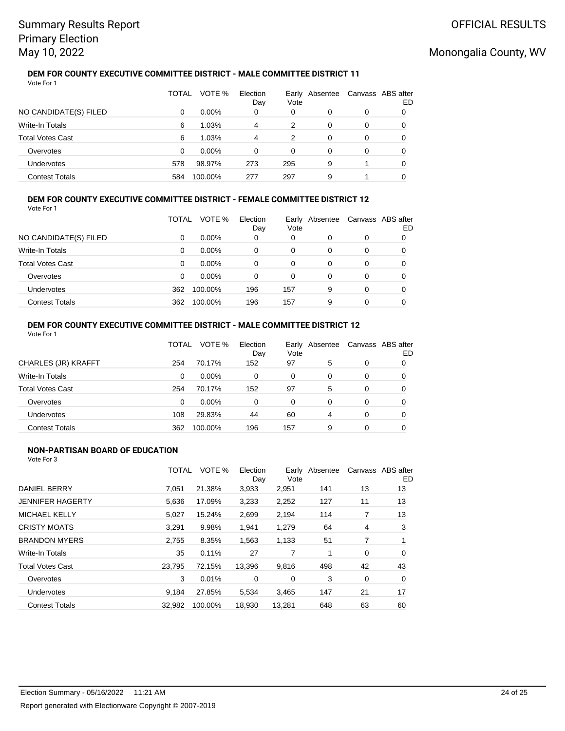### **DEM FOR COUNTY EXECUTIVE COMMITTEE DISTRICT - MALE COMMITTEE DISTRICT 11** Vote For 1

|                         | TOTAL | VOTE %   | Election<br>Day | Vote | Early Absentee |   | Canvass ABS after<br>ED |
|-------------------------|-------|----------|-----------------|------|----------------|---|-------------------------|
| NO CANDIDATE(S) FILED   | 0     | $0.00\%$ | 0               | 0    | 0              | 0 |                         |
| Write-In Totals         | 6     | 1.03%    | 4               | 2    | 0              | 0 |                         |
| <b>Total Votes Cast</b> | 6     | 1.03%    | 4               | 2    | 0              | 0 | 0                       |
| Overvotes               | 0     | $0.00\%$ | 0               | 0    | 0              | 0 |                         |
| Undervotes              | 578   | 98.97%   | 273             | 295  | 9              |   |                         |
| <b>Contest Totals</b>   | 584   | 100.00%  | 277             | 297  | 9              |   |                         |

### **DEM FOR COUNTY EXECUTIVE COMMITTEE DISTRICT - FEMALE COMMITTEE DISTRICT 12** Vote For 1

|                         | TOTAL | VOTE %   | Election<br>Day | Vote | Early Absentee | Canvass ABS after | ED |
|-------------------------|-------|----------|-----------------|------|----------------|-------------------|----|
| NO CANDIDATE(S) FILED   | 0     | $0.00\%$ | 0               | 0    | 0              | 0                 |    |
| <b>Write-In Totals</b>  | 0     | $0.00\%$ | 0               | 0    | 0              | 0                 | 0  |
| <b>Total Votes Cast</b> | 0     | $0.00\%$ | 0               | 0    | 0              | 0                 | 0  |
| Overvotes               | 0     | $0.00\%$ | 0               | 0    | 0              | 0                 | 0  |
| Undervotes              | 362   | 100.00%  | 196             | 157  | 9              | 0                 | 0  |
| <b>Contest Totals</b>   | 362   | 100.00%  | 196             | 157  | 9              | 0                 |    |

### **DEM FOR COUNTY EXECUTIVE COMMITTEE DISTRICT - MALE COMMITTEE DISTRICT 12** Vote For 1

|                         | TOTAL | VOTE %   | Election<br>Day | Earlv<br>Vote | Absentee |   | Canvass ABS after<br>ED |
|-------------------------|-------|----------|-----------------|---------------|----------|---|-------------------------|
| CHARLES (JR) KRAFFT     | 254   | 70.17%   | 152             | 97            | 5        | 0 |                         |
| <b>Write-In Totals</b>  | 0     | $0.00\%$ | 0               | 0             | 0        | 0 |                         |
| <b>Total Votes Cast</b> | 254   | 70.17%   | 152             | 97            | 5        | 0 | 0                       |
| Overvotes               | 0     | $0.00\%$ | 0               | 0             | 0        | 0 | O                       |
| <b>Undervotes</b>       | 108   | 29.83%   | 44              | 60            | 4        | 0 | O                       |
| <b>Contest Totals</b>   | 362   | 100.00%  | 196             | 157           | 9        | 0 |                         |

## **NON-PARTISAN BOARD OF EDUCATION**

|                         | <b>TOTAL</b> | VOTE %  | Election<br>Day | Vote   | Early Absentee |                | Canvass ABS after<br>ED |
|-------------------------|--------------|---------|-----------------|--------|----------------|----------------|-------------------------|
| DANIEL BERRY            | 7.051        | 21.38%  | 3,933           | 2,951  | 141            | 13             | 13                      |
| <b>JENNIFER HAGERTY</b> | 5,636        | 17.09%  | 3,233           | 2,252  | 127            | 11             | 13                      |
| <b>MICHAEL KELLY</b>    | 5.027        | 15.24%  | 2,699           | 2,194  | 114            | 7              | 13                      |
| <b>CRISTY MOATS</b>     | 3,291        | 9.98%   | 1,941           | 1,279  | 64             | $\overline{4}$ | 3                       |
| <b>BRANDON MYERS</b>    | 2,755        | 8.35%   | 1,563           | 1,133  | 51             | 7              |                         |
| Write-In Totals         | 35           | 0.11%   | 27              | 7      |                | 0              | 0                       |
| <b>Total Votes Cast</b> | 23,795       | 72.15%  | 13,396          | 9,816  | 498            | 42             | 43                      |
| Overvotes               | 3            | 0.01%   | 0               | 0      | 3              | 0              | 0                       |
| Undervotes              | 9.184        | 27.85%  | 5,534           | 3.465  | 147            | 21             | 17                      |
| <b>Contest Totals</b>   | 32.982       | 100.00% | 18.930          | 13.281 | 648            | 63             | 60                      |